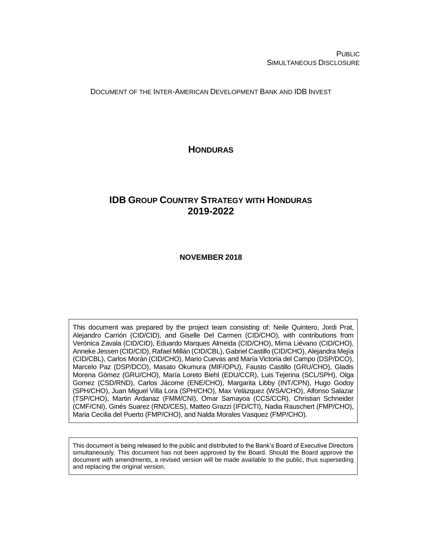PUBLIC SIMULTANEOUS DISCLOSURE

DOCUMENT OF THE INTER-AMERICAN DEVELOPMENT BANK AND IDB INVEST

**HONDURAS**

# **IDB GROUP COUNTRY STRATEGY WITH HONDURAS 2019-2022**

#### **NOVEMBER 2018**

This document was prepared by the project team consisting of: Neile Quintero, Jordi Prat, Alejandro Carrión (CID/CID), and Giselle Del Carmen (CID/CHO), with contributions from Verónica Zavala (CID/CID), Eduardo Marques Almeida (CID/CHO), Mirna Liévano (CID/CHO), Anneke Jessen (CID/CID), Rafael Millán (CID/CBL), Gabriel Castillo (CID/CHO), Alejandra Mejía (CID/CBL), Carlos Morán (CID/CHO), Mario Cuevas and María Victoria del Campo (DSP/DCO), Marcelo Paz (DSP/DCO), Masato Okumura (MIF/OPU), Fausto Castillo (GRU/CHO), Gladis Morena Gómez (GRU/CHO), María Loreto Biehl (EDU/CCR), Luis Tejerina (SCL/SPH), Olga Gomez (CSD/RND), Carlos Jácome (ENE/CHO), Margarita Libby (INT/CPN), Hugo Godoy (SPH/CHO), Juan Miguel Villa Lora (SPH/CHO), Max Velázquez (WSA/CHO), Alfonso Salazar (TSP/CHO), Martin Ardanaz (FMM/CNI), Omar Samayoa (CCS/CCR), Christian Schneider (CMF/CNI), Ginés Suarez (RND/CES), Matteo Grazzi (IFD/CTI), Nadia Rauschert (FMP/CHO), Maria Cecilia del Puerto (FMP/CHO), and Nalda Morales Vasquez (FMP/CHO).

This document is being released to the public and distributed to the Bank's Board of Executive Directors simultaneously. This document has not been approved by the Board. Should the Board approve the document with amendments, a revised version will be made available to the public, thus superseding and replacing the original version.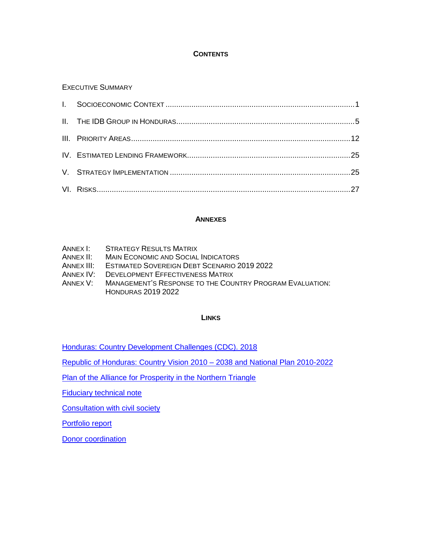## **CONTENTS**

# EXECUTIVE SUMMARY

### **ANNEXES**

| ANNEX I: | <b>STRATEGY RESULTS MATRIX</b> |
|----------|--------------------------------|
|----------|--------------------------------|

- ANNEX II: MAIN ECONOMIC AND SOCIAL INDICATORS
- ANNEX III: ESTIMATED SOVEREIGN DEBT SCENARIO 2019 2022
- ANNEX IV: DEVELOPMENT EFFECTIVENESS MATRIX
- ANNEX V: MANAGEMENT'S RESPONSE TO THE COUNTRY PROGRAM EVALUATION: HONDURAS 2019 2022

#### **LINKS**

[Honduras: Country Development Challenges \(CDC\). 2018](http://idbdocs.iadb.org/wsdocs/getDocument.aspx?DOCNUM=EZSHARE-1305851907-4)

[Republic of Honduras: Country Vision 2010 –](http://idbdocs.iadb.org/wsdocs/getDocument.aspx?DOCNUM=EZSHARE-1305851907-11) 2038 and National Plan 2010-2022

[Plan of the Alliance for Prosperity in the Northern Triangle](http://idbdocs.iadb.org/wsdocs/getDocument.aspx?DOCNUM=EZSHARE-1305851907-12)

**[Fiduciary technical note](http://idbdocs.iadb.org/wsdocs/getDocument.aspx?DOCNUM=EZSHARE-1305851907-8)** 

[Consultation with civil society](http://idbdocs.iadb.org/wsdocs/getDocument.aspx?DOCNUM=EZSHARE-1305851907-15)

[Portfolio report](http://idbdocs.iadb.org/wsdocs/getDocument.aspx?DOCNUM=EZSHARE-1305851907-14)

**[Donor coordination](http://idbdocs.iadb.org/wsdocs/getDocument.aspx?DOCNUM=EZSHARE-1305851907-13)**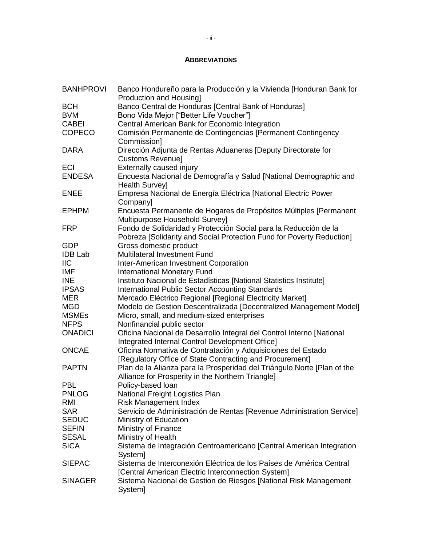### **ABBREVIATIONS**

| <b>BANHPROVI</b> | Banco Hondureño para la Producción y la Vivienda [Honduran Bank for<br><b>Production and Housingl</b> |
|------------------|-------------------------------------------------------------------------------------------------------|
| <b>BCH</b>       | Banco Central de Honduras [Central Bank of Honduras]                                                  |
| <b>BVM</b>       | Bono Vida Mejor ["Better Life Voucher"]                                                               |
| <b>CABEI</b>     | Central American Bank for Economic Integration                                                        |
| <b>COPECO</b>    | Comisión Permanente de Contingencias [Permanent Contingency                                           |
|                  | Commission]                                                                                           |
| <b>DARA</b>      | Dirección Adjunta de Rentas Aduaneras [Deputy Directorate for                                         |
|                  | Customs Revenue]                                                                                      |
| <b>ECI</b>       | Externally caused injury                                                                              |
| <b>ENDESA</b>    | Encuesta Nacional de Demografía y Salud [National Demographic and<br>Health Survey]                   |
| <b>ENEE</b>      | Empresa Nacional de Energía Eléctrica [National Electric Power                                        |
|                  | Company]                                                                                              |
| <b>EPHPM</b>     | Encuesta Permanente de Hogares de Propósitos Múltiples [Permanent<br>Multipurpose Household Survey]   |
| <b>FRP</b>       | Fondo de Solidaridad y Protección Social para la Reducción de la                                      |
|                  | Pobreza [Solidarity and Social Protection Fund for Poverty Reduction]                                 |
| <b>GDP</b>       | Gross domestic product                                                                                |
| <b>IDB Lab</b>   | Multilateral Investment Fund                                                                          |
| <b>IIC</b>       | Inter-American Investment Corporation                                                                 |
| <b>IMF</b>       | <b>International Monetary Fund</b>                                                                    |
| <b>INE</b>       | Instituto Nacional de Estadísticas [National Statistics Institute]                                    |
| <b>IPSAS</b>     | <b>International Public Sector Accounting Standards</b>                                               |
| <b>MER</b>       | Mercado Eléctrico Regional [Regional Electricity Market]                                              |
| <b>MGD</b>       | Modelo de Gestion Descentralizada [Decentralized Management Model]                                    |
| <b>MSMEs</b>     | Micro, small, and medium-sized enterprises                                                            |
| <b>NFPS</b>      | Nonfinancial public sector                                                                            |
| <b>ONADICI</b>   | Oficina Nacional de Desarrollo Integral del Control Interno [National                                 |
|                  | Integrated Internal Control Development Office]                                                       |
| <b>ONCAE</b>     | Oficina Normativa de Contratación y Adquisiciones del Estado                                          |
|                  | [Regulatory Office of State Contracting and Procurement]                                              |
| <b>PAPTN</b>     | Plan de la Alianza para la Prosperidad del Triángulo Norte [Plan of the                               |
|                  | Alliance for Prosperity in the Northern Triangle]                                                     |
| <b>PBL</b>       | Policy-based loan                                                                                     |
| <b>PNLOG</b>     | National Freight Logistics Plan                                                                       |
| RMI              | <b>Risk Management Index</b>                                                                          |
| <b>SAR</b>       | Servicio de Administración de Rentas [Revenue Administration Service]                                 |
| <b>SEDUC</b>     | Ministry of Education                                                                                 |
| <b>SEFIN</b>     | Ministry of Finance                                                                                   |
| <b>SESAL</b>     | Ministry of Health                                                                                    |
| <b>SICA</b>      | Sistema de Integración Centroamericano [Central American Integration<br>System]                       |
| <b>SIEPAC</b>    | Sistema de Interconexión Eléctrica de los Países de América Central                                   |
|                  | [Central American Electric Interconnection System]                                                    |
| <b>SINAGER</b>   | Sistema Nacional de Gestion de Riesgos [National Risk Management<br>System]                           |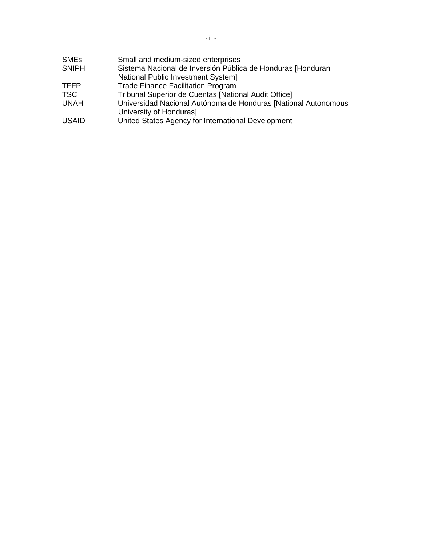| <b>SME<sub>s</sub></b> | Small and medium-sized enterprises                                                        |
|------------------------|-------------------------------------------------------------------------------------------|
| <b>SNIPH</b>           | Sistema Nacional de Inversión Pública de Honduras [Honduran                               |
|                        | National Public Investment System]                                                        |
| <b>TFFP</b>            | <b>Trade Finance Facilitation Program</b>                                                 |
| <b>TSC</b>             | <b>Tribunal Superior de Cuentas [National Audit Office]</b>                               |
| <b>UNAH</b>            | Universidad Nacional Autónoma de Honduras [National Autonomous<br>University of Honduras] |
| <b>USAID</b>           | United States Agency for International Development                                        |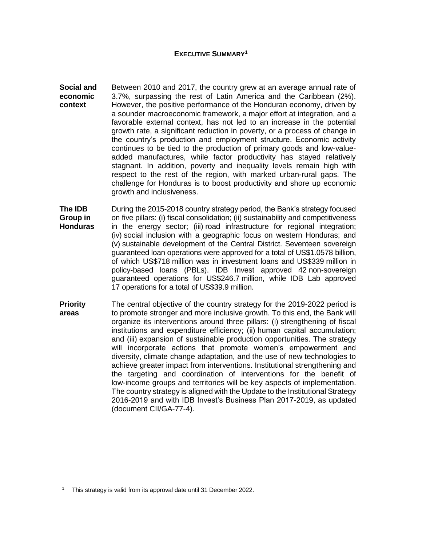#### **EXECUTIVE SUMMARY<sup>1</sup>**

- **Social and economic context** Between 2010 and 2017, the country grew at an average annual rate of 3.7%, surpassing the rest of Latin America and the Caribbean (2%). However, the positive performance of the Honduran economy, driven by a sounder macroeconomic framework, a major effort at integration, and a favorable external context, has not led to an increase in the potential growth rate, a significant reduction in poverty, or a process of change in the country's production and employment structure. Economic activity continues to be tied to the production of primary goods and low-valueadded manufactures, while factor productivity has stayed relatively stagnant. In addition, poverty and inequality levels remain high with respect to the rest of the region, with marked urban-rural gaps. The challenge for Honduras is to boost productivity and shore up economic growth and inclusiveness.
- **The IDB Group in Honduras** During the 2015-2018 country strategy period, the Bank's strategy focused on five pillars: (i) fiscal consolidation; (ii) sustainability and competitiveness in the energy sector; (iii) road infrastructure for regional integration; (iv) social inclusion with a geographic focus on western Honduras; and (v) sustainable development of the Central District. Seventeen sovereign guaranteed loan operations were approved for a total of US\$1.0578 billion, of which US\$718 million was in investment loans and US\$339 million in policy-based loans (PBLs). IDB Invest approved 42 non-sovereign guaranteed operations for US\$246.7 million, while IDB Lab approved 17 operations for a total of US\$39.9 million.
- **Priority areas** The central objective of the country strategy for the 2019-2022 period is to promote stronger and more inclusive growth. To this end, the Bank will organize its interventions around three pillars: (i) strengthening of fiscal institutions and expenditure efficiency; (ii) human capital accumulation; and (iii) expansion of sustainable production opportunities. The strategy will incorporate actions that promote women's empowerment and diversity, climate change adaptation, and the use of new technologies to achieve greater impact from interventions. Institutional strengthening and the targeting and coordination of interventions for the benefit of low-income groups and territories will be key aspects of implementation. The country strategy is aligned with the Update to the Institutional Strategy 2016-2019 and with IDB Invest's Business Plan 2017-2019, as updated (document CII/GA-77-4).

<sup>1</sup> This strategy is valid from its approval date until 31 December 2022.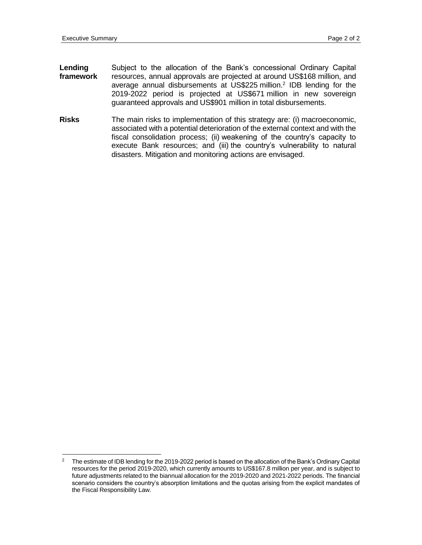- **Lending framework** Subject to the allocation of the Bank's concessional Ordinary Capital resources, annual approvals are projected at around US\$168 million, and average annual disbursements at US\$225 million.<sup>2</sup> IDB lending for the 2019-2022 period is projected at US\$671 million in new sovereign guaranteed approvals and US\$901 million in total disbursements.
- **Risks** The main risks to implementation of this strategy are: (i) macroeconomic, associated with a potential deterioration of the external context and with the fiscal consolidation process; (ii) weakening of the country's capacity to execute Bank resources; and (iii) the country's vulnerability to natural disasters. Mitigation and monitoring actions are envisaged.

 $\overline{2}$ <sup>2</sup> The estimate of IDB lending for the 2019-2022 period is based on the allocation of the Bank's Ordinary Capital resources for the period 2019-2020, which currently amounts to US\$167.8 million per year, and is subject to future adjustments related to the biannual allocation for the 2019-2020 and 2021-2022 periods. The financial scenario considers the country's absorption limitations and the quotas arising from the explicit mandates of the Fiscal Responsibility Law.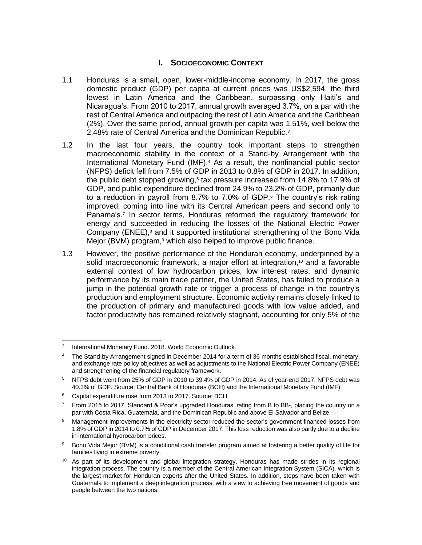# **I. SOCIOECONOMIC CONTEXT**

- 1.1 Honduras is a small, open, lower-middle-income economy. In 2017, the gross domestic product (GDP) per capita at current prices was US\$2,594, the third lowest in Latin America and the Caribbean, surpassing only Haiti's and Nicaragua's. From 2010 to 2017, annual growth averaged 3.7%, on a par with the rest of Central America and outpacing the rest of Latin America and the Caribbean (2%). Over the same period, annual growth per capita was 1.51%, well below the 2.48% rate of Central America and the Dominican Republic.<sup>3</sup>
- 1.2 In the last four years, the country took important steps to strengthen macroeconomic stability in the context of a Stand-by Arrangement with the International Monetary Fund (IMF).<sup>4</sup> As a result, the nonfinancial public sector (NFPS) deficit fell from 7.5% of GDP in 2013 to 0.8% of GDP in 2017. In addition, the public debt stopped growing,<sup>5</sup> tax pressure increased from 14.8% to 17.9% of GDP, and public expenditure declined from 24.9% to 23.2% of GDP, primarily due to a reduction in payroll from 8.7% to 7.0% of GDP.<sup>6</sup> The country's risk rating improved, coming into line with its Central American peers and second only to Panama's.<sup>7</sup> In sector terms, Honduras reformed the regulatory framework for energy and succeeded in reducing the losses of the National Electric Power Company (ENEE),<sup>8</sup> and it supported institutional strengthening of the Bono Vida Mejor (BVM) program,<sup>9</sup> which also helped to improve public finance.
- 1.3 However, the positive performance of the Honduran economy, underpinned by a solid macroeconomic framework, a major effort at integration,<sup>10</sup> and a favorable external context of low hydrocarbon prices, low interest rates, and dynamic performance by its main trade partner, the United States, has failed to produce a jump in the potential growth rate or trigger a process of change in the country's production and employment structure. Economic activity remains closely linked to the production of primary and manufactured goods with low value added, and factor productivity has remained relatively stagnant, accounting for only 5% of the

 $\overline{a}$ 3 International Monetary Fund. 2018. World Economic Outlook*.*

<sup>&</sup>lt;sup>4</sup> The Stand-by Arrangement signed in December 2014 for a term of 36 months established fiscal, monetary, and exchange rate policy objectives as well as adjustments to the National Electric Power Company (ENEE) and strengthening of the financial regulatory framework.

<sup>5</sup> NFPS debt went from 25% of GDP in 2010 to 39.4% of GDP in 2014. As of year-end 2017, NFPS debt was 40.3% of GDP. Source: Central Bank of Honduras (BCH) and the International Monetary Fund (IMF).

<sup>&</sup>lt;sup>6</sup> Capital expenditure rose from 2013 to 2017. Source: BCH.

 $7$  From 2015 to 2017, Standard & Poor's upgraded Honduras' rating from B to BB-, placing the country on a par with Costa Rica, Guatemala, and the Dominican Republic and above El Salvador and Belize.

<sup>&</sup>lt;sup>8</sup> Management improvements in the electricity sector reduced the sector's government-financed losses from 1.8% of GDP in 2014 to 0.7% of GDP in December 2017. This loss reduction was also partly due to a decline in international hydrocarbon prices.

<sup>9</sup> Bono Vida Mejor (BVM) is a conditional cash transfer program aimed at fostering a better quality of life for families living in extreme poverty.

<sup>&</sup>lt;sup>10</sup> As part of its development and global integration strategy, Honduras has made strides in its regional integration process. The country is a member of the Central American Integration System (SICA), which is the largest market for Honduran exports after the United States. In addition, steps have been taken with Guatemala to implement a deep integration process, with a view to achieving free movement of goods and people between the two nations.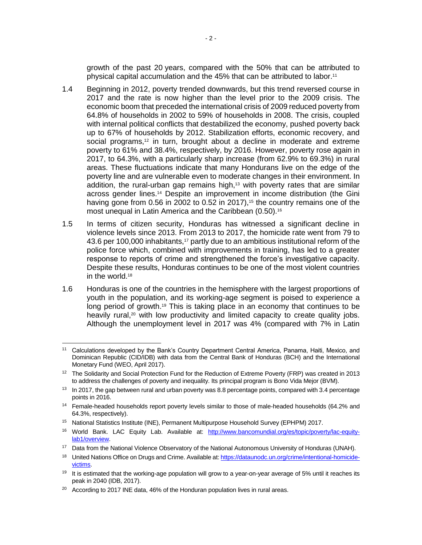growth of the past 20 years, compared with the 50% that can be attributed to physical capital accumulation and the 45% that can be attributed to labor.<sup>11</sup>

- 1.4 Beginning in 2012, poverty trended downwards, but this trend reversed course in 2017 and the rate is now higher than the level prior to the 2009 crisis. The economic boom that preceded the international crisis of 2009 reduced poverty from 64.8% of households in 2002 to 59% of households in 2008. The crisis, coupled with internal political conflicts that destabilized the economy, pushed poverty back up to 67% of households by 2012. Stabilization efforts, economic recovery, and social programs,<sup>12</sup> in turn, brought about a decline in moderate and extreme poverty to 61% and 38.4%, respectively, by 2016. However, poverty rose again in 2017, to 64.3%, with a particularly sharp increase (from 62.9% to 69.3%) in rural areas. These fluctuations indicate that many Hondurans live on the edge of the poverty line and are vulnerable even to moderate changes in their environment. In addition, the rural-urban gap remains high,<sup>13</sup> with poverty rates that are similar across gender lines.<sup>14</sup> Despite an improvement in income distribution (the Gini having gone from  $0.56$  in 2002 to  $0.52$  in 2017),<sup>15</sup> the country remains one of the most unequal in Latin America and the Caribbean (0.50).<sup>16</sup>
- 1.5 In terms of citizen security, Honduras has witnessed a significant decline in violence levels since 2013. From 2013 to 2017, the homicide rate went from 79 to 43.6 per 100,000 inhabitants,<sup>17</sup> partly due to an ambitious institutional reform of the police force which, combined with improvements in training, has led to a greater response to reports of crime and strengthened the force's investigative capacity. Despite these results, Honduras continues to be one of the most violent countries in the world.<sup>18</sup>
- 1.6 Honduras is one of the countries in the hemisphere with the largest proportions of youth in the population, and its working-age segment is poised to experience a long period of growth.<sup>19</sup> This is taking place in an economy that continues to be heavily rural,<sup>20</sup> with low productivity and limited capacity to create quality jobs. Although the unemployment level in 2017 was 4% (compared with 7% in Latin

<sup>15</sup> National Statistics Institute (INE), Permanent Multipurpose Household Survey (EPHPM) 2017.

 <sup>11</sup> Calculations developed by the Bank's Country Department Central America, Panama, Haiti, Mexico, and Dominican Republic (CID/IDB) with data from the Central Bank of Honduras (BCH) and the International Monetary Fund (WEO, April 2017).

<sup>&</sup>lt;sup>12</sup> The Solidarity and Social Protection Fund for the Reduction of Extreme Poverty (FRP) was created in 2013 to address the challenges of poverty and inequality. Its principal program is Bono Vida Mejor (BVM).

<sup>&</sup>lt;sup>13</sup> In 2017, the gap between rural and urban poverty was 8.8 percentage points, compared with 3.4 percentage points in 2016.

<sup>&</sup>lt;sup>14</sup> Female-headed households report poverty levels similar to those of male-headed households (64.2% and 64.3%, respectively).

<sup>16</sup> World Bank. LAC Equity Lab. Available at: [http://www.bancomundial.org/es/topic/poverty/lac-equity](http://www.bancomundial.org/es/topic/poverty/lac-equity-lab1/overview)[lab1/overview.](http://www.bancomundial.org/es/topic/poverty/lac-equity-lab1/overview)

<sup>&</sup>lt;sup>17</sup> Data from the National Violence Observatory of the National Autonomous University of Honduras (UNAH).

<sup>&</sup>lt;sup>18</sup> United Nations Office on Drugs and Crime. Available at[: https://dataunodc.un.org/crime/intentional-homicide](https://dataunodc.un.org/crime/intentional-homicide-victims)[victims.](https://dataunodc.un.org/crime/intentional-homicide-victims)

<sup>&</sup>lt;sup>19</sup> It is estimated that the working-age population will grow to a year-on-year average of 5% until it reaches its peak in 2040 (IDB, 2017).

 $20$  According to 2017 INE data, 46% of the Honduran population lives in rural areas.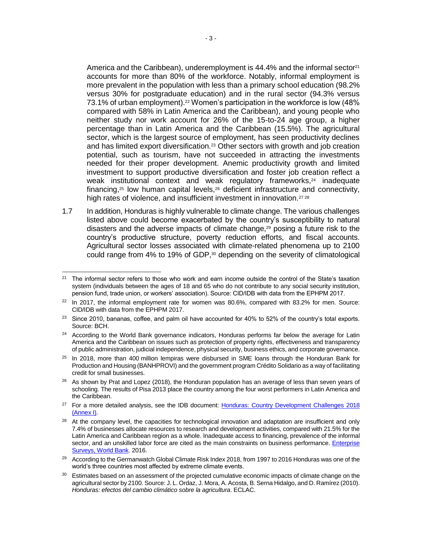America and the Caribbean), underemployment is  $44.4\%$  and the informal sector<sup>21</sup> accounts for more than 80% of the workforce. Notably, informal employment is more prevalent in the population with less than a primary school education (98.2% versus 30% for postgraduate education) and in the rural sector (94.3% versus 73.1% of urban employment).<sup>22</sup> Women's participation in the workforce is low (48% compared with 58% in Latin America and the Caribbean), and young people who neither study nor work account for 26% of the 15-to-24 age group, a higher percentage than in Latin America and the Caribbean (15.5%). The agricultural sector, which is the largest source of employment, has seen productivity declines and has limited export diversification.<sup>23</sup> Other sectors with growth and job creation potential, such as tourism, have not succeeded in attracting the investments needed for their proper development. Anemic productivity growth and limited investment to support productive diversification and foster job creation reflect a weak institutional context and weak regulatory frameworks,<sup>24</sup> inadequate financing, $25$  low human capital levels, $26$  deficient infrastructure and connectivity, high rates of violence, and insufficient investment in innovation.<sup>27</sup><sup>28</sup>

1.7 In addition, Honduras is highly vulnerable to climate change. The various challenges listed above could become exacerbated by the country's susceptibility to natural disasters and the adverse impacts of climate change,<sup>29</sup> posing a future risk to the country's productive structure, poverty reduction efforts, and fiscal accounts. Agricultural sector losses associated with climate-related phenomena up to 2100 could range from 4% to 19% of GDP,<sup>30</sup> depending on the severity of climatological

 <sup>21</sup> The informal sector refers to those who work and earn income outside the control of the State's taxation system (individuals between the ages of 18 and 65 who do not contribute to any social security institution, pension fund, trade union, or workers' association). Source: CID/IDB with data from the EPHPM 2017.

<sup>&</sup>lt;sup>22</sup> In 2017, the informal employment rate for women was 80.6%, compared with 83.2% for men. Source: CID/IDB with data from the EPHPM 2017.

<sup>&</sup>lt;sup>23</sup> Since 2010, bananas, coffee, and palm oil have accounted for 40% to 52% of the country's total exports. Source: BCH.

<sup>&</sup>lt;sup>24</sup> According to the World Bank governance indicators, Honduras performs far below the average for Latin America and the Caribbean on issues such as protection of property rights, effectiveness and transparency of public administration, judicial independence, physical security, business ethics, and corporate governance.

 $25$  In 2018, more than 400 million lempiras were disbursed in SME loans through the Honduran Bank for Production and Housing (BANHPROVI) and the government program Crédito Solidario as a way of facilitating credit for small businesses.

<sup>&</sup>lt;sup>26</sup> As shown by Prat and Lopez (2018), the Honduran population has an average of less than seven years of schooling. The results of Pisa 2013 place the country among the four worst performers in Latin America and the Caribbean.

<sup>&</sup>lt;sup>27</sup> For a more detailed analysis, see the IDB document: Honduras: Country Development Challenges 2018 [\(Annex I\).](http://idbdocs.iadb.org/wsdocs/getDocument.aspx?DOCNUM=EZSHARE-1305851907-4)

<sup>&</sup>lt;sup>28</sup> At the company level, the capacities for technological innovation and adaptation are insufficient and only 7.4% of businesses allocate resources to research and development activities, compared with 21.5% for the Latin America and Caribbean region as a whole. Inadequate access to financing, prevalence of the informal sector, and an unskilled labor force are cited as the main constraints on business performance. Enterprise [Surveys, World Bank.](http://www.enterprisesurveys.org/data/exploreeconomies/2016/honduras#innovation-and-technology) 2016.

<sup>&</sup>lt;sup>29</sup> According to the Germanwatch Global Climate Risk Index 2018, from 1997 to 2016 Honduras was one of the world's three countries most affected by extreme climate events.

 $30$  Estimates based on an assessment of the projected cumulative economic impacts of climate change on the agricultural sector by 2100. Source: J. L. Ordaz, J. Mora, A. Acosta, B. Serna Hidalgo, and D. Ramírez (2010). *Honduras: efectos del cambio climático sobre la agricultura*. ECLAC.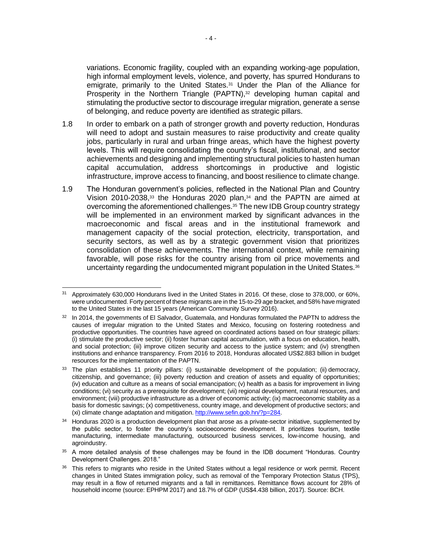variations. Economic fragility, coupled with an expanding working-age population, high informal employment levels, violence, and poverty, has spurred Hondurans to emigrate, primarily to the United States.<sup>31</sup> Under the Plan of the Alliance for Prosperity in the Northern Triangle (PAPTN),<sup>32</sup> developing human capital and stimulating the productive sector to discourage irregular migration, generate a sense of belonging, and reduce poverty are identified as strategic pillars.

- 1.8 In order to embark on a path of stronger growth and poverty reduction, Honduras will need to adopt and sustain measures to raise productivity and create quality jobs, particularly in rural and urban fringe areas, which have the highest poverty levels. This will require consolidating the country's fiscal, institutional, and sector achievements and designing and implementing structural policies to hasten human capital accumulation, address shortcomings in productive and logistic infrastructure, improve access to financing, and boost resilience to climate change.
- 1.9 The Honduran government's policies, reflected in the National Plan and Country Vision 2010-2038, $33$  the Honduras 2020 plan, $34$  and the PAPTN are aimed at overcoming the aforementioned challenges.<sup>35</sup> The new IDB Group country strategy will be implemented in an environment marked by significant advances in the macroeconomic and fiscal areas and in the institutional framework and management capacity of the social protection, electricity, transportation, and security sectors, as well as by a strategic government vision that prioritizes consolidation of these achievements. The international context, while remaining favorable, will pose risks for the country arising from oil price movements and uncertainty regarding the undocumented migrant population in the United States.<sup>36</sup>

 $\overline{a}$ <sup>31</sup> Approximately 630,000 Hondurans lived in the United States in 2016. Of these, close to 378,000, or 60%, were undocumented. Forty percent of these migrants are in the 15-to-29 age bracket, and 58% have migrated to the United States in the last 15 years (American Community Survey 2016).

<sup>&</sup>lt;sup>32</sup> In 2014, the governments of El Salvador, Guatemala, and Honduras formulated the PAPTN to address the causes of irregular migration to the United States and Mexico, focusing on fostering rootedness and productive opportunities. The countries have agreed on coordinated actions based on four strategic pillars: (i) stimulate the productive sector; (ii) foster human capital accumulation, with a focus on education, health, and social protection; (iii) improve citizen security and access to the justice system; and (iv) strengthen institutions and enhance transparency. From 2016 to 2018, Honduras allocated US\$2.883 billion in budget resources for the implementation of the PAPTN.

<sup>&</sup>lt;sup>33</sup> The plan establishes 11 priority pillars: (i) sustainable development of the population; (ii) democracy, citizenship, and governance; (iii) poverty reduction and creation of assets and equality of opportunities; (iv) education and culture as a means of social emancipation; (v) health as a basis for improvement in living conditions; (vi) security as a prerequisite for development; (vii) regional development, natural resources, and environment; (viii) productive infrastructure as a driver of economic activity; (ix) macroeconomic stability as a basis for domestic savings; (x) competitiveness, country image, and development of productive sectors; and (xi) climate change adaptation and mitigation. [http://www.sefin.gob.hn/?p=284.](http://www.sefin.gob.hn/?p=284)

 $34$  Honduras 2020 is a production development plan that arose as a private-sector initiative, supplemented by the public sector, to foster the country's socioeconomic development. It prioritizes tourism, textile manufacturing, intermediate manufacturing, outsourced business services, low-income housing, and agroindustry.

<sup>35</sup> A more detailed analysis of these challenges may be found in the IDB document "Honduras. Country Development Challenges. 2018."

<sup>&</sup>lt;sup>36</sup> This refers to migrants who reside in the United States without a legal residence or work permit. Recent changes in United States immigration policy, such as removal of the Temporary Protection Status (TPS), may result in a flow of returned migrants and a fall in remittances. Remittance flows account for 28% of household income (source: EPHPM 2017) and 18.7% of GDP (US\$4.438 billion, 2017). Source: BCH.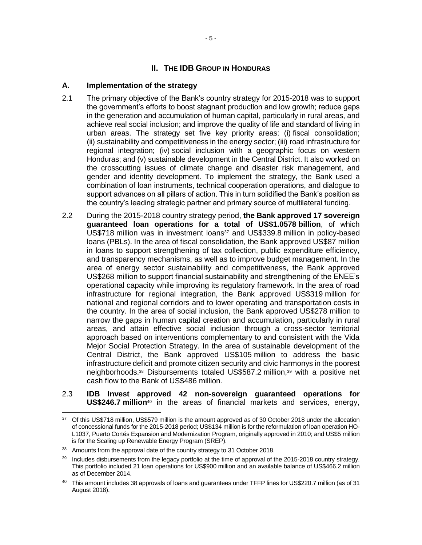# **II. THE IDB GROUP IN HONDURAS**

## **A. Implementation of the strategy**

- 2.1 The primary objective of the Bank's country strategy for 2015-2018 was to support the government's efforts to boost stagnant production and low growth; reduce gaps in the generation and accumulation of human capital, particularly in rural areas, and achieve real social inclusion; and improve the quality of life and standard of living in urban areas. The strategy set five key priority areas: (i) fiscal consolidation; (ii) sustainability and competitiveness in the energy sector; (iii) road infrastructure for regional integration; (iv) social inclusion with a geographic focus on western Honduras; and (v) sustainable development in the Central District. It also worked on the crosscutting issues of climate change and disaster risk management, and gender and identity development. To implement the strategy, the Bank used a combination of loan instruments, technical cooperation operations, and dialogue to support advances on all pillars of action. This in turn solidified the Bank's position as the country's leading strategic partner and primary source of multilateral funding.
- 2.2 During the 2015-2018 country strategy period, **the Bank approved 17 sovereign guaranteed loan operations for a total of US\$1.0578 billion**, of which US\$718 million was in investment loans<sup>37</sup> and US\$339.8 million in policy-based loans (PBLs). In the area of fiscal consolidation, the Bank approved US\$87 million in loans to support strengthening of tax collection, public expenditure efficiency, and transparency mechanisms, as well as to improve budget management. In the area of energy sector sustainability and competitiveness, the Bank approved US\$268 million to support financial sustainability and strengthening of the ENEE's operational capacity while improving its regulatory framework. In the area of road infrastructure for regional integration, the Bank approved US\$319 million for national and regional corridors and to lower operating and transportation costs in the country. In the area of social inclusion, the Bank approved US\$278 million to narrow the gaps in human capital creation and accumulation, particularly in rural areas, and attain effective social inclusion through a cross-sector territorial approach based on interventions complementary to and consistent with the Vida Mejor Social Protection Strategy. In the area of sustainable development of the Central District, the Bank approved US\$105 million to address the basic infrastructure deficit and promote citizen security and civic harmonys in the poorest neighborhoods.<sup>38</sup> Disbursements totaled US\$587.2 million,<sup>39</sup> with a positive net cash flow to the Bank of US\$486 million.
- 2.3 **IDB Invest approved 42 non-sovereign guaranteed operations for US\$246.7 million**<sup>40</sup> in the areas of financial markets and services, energy,

<sup>&</sup>lt;sup>37</sup> Of this US\$718 million, US\$579 million is the amount approved as of 30 October 2018 under the allocation of concessional funds for the 2015-2018 period; US\$134 million is for the reformulation of loan operation HO-L1037, Puerto Cortés Expansion and Modernization Program, originally approved in 2010; and US\$5 million is for the Scaling up Renewable Energy Program (SREP).

<sup>38</sup> Amounts from the approval date of the country strategy to 31 October 2018.

<sup>&</sup>lt;sup>39</sup> Includes disbursements from the legacy portfolio at the time of approval of the 2015-2018 country strategy. This portfolio included 21 loan operations for US\$900 million and an available balance of US\$466.2 million as of December 2014.

<sup>40</sup> This amount includes 38 approvals of loans and guarantees under TFFP lines for US\$220.7 million (as of 31 August 2018).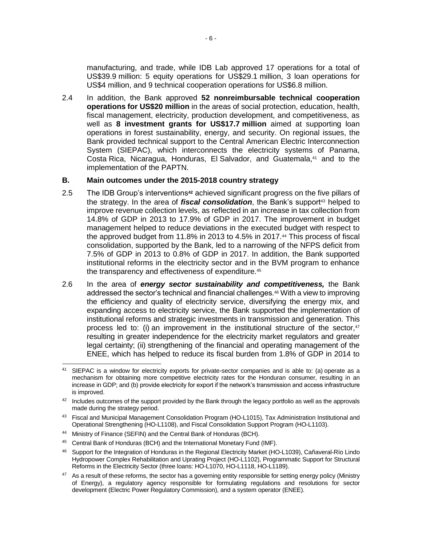manufacturing, and trade, while IDB Lab approved 17 operations for a total of US\$39.9 million: 5 equity operations for US\$29.1 million, 3 loan operations for US\$4 million, and 9 technical cooperation operations for US\$6.8 million.

2.4 In addition, the Bank approved **52 nonreimbursable technical cooperation operations for US\$20 million** in the areas of social protection, education, health, fiscal management, electricity, production development, and competitiveness, as well as **8 investment grants for US\$17.7 million** aimed at supporting loan operations in forest sustainability, energy, and security. On regional issues, the Bank provided technical support to the Central American Electric Interconnection System (SIEPAC), which interconnects the electricity systems of Panama, Costa Rica, Nicaragua, Honduras, El Salvador, and Guatemala,<sup>41</sup> and to the implementation of the PAPTN.

#### **B. Main outcomes under the 2015-2018 country strategy**

- 2.5 The IDB Group's interventions**<sup>42</sup>** achieved significant progress on the five pillars of the strategy. In the area of *fiscal consolidation*, the Bank's support<sup>43</sup> helped to improve revenue collection levels, as reflected in an increase in tax collection from 14.8% of GDP in 2013 to 17.9% of GDP in 2017. The improvement in budget management helped to reduce deviations in the executed budget with respect to the approved budget from 11.8% in 2013 to 4.5% in 2017.<sup>44</sup> This process of fiscal consolidation, supported by the Bank, led to a narrowing of the NFPS deficit from 7.5% of GDP in 2013 to 0.8% of GDP in 2017. In addition, the Bank supported institutional reforms in the electricity sector and in the BVM program to enhance the transparency and effectiveness of expenditure.<sup>45</sup>
- 2.6 In the area of *energy sector sustainability and competitiveness,* the Bank addressed the sector's technical and financial challenges.<sup>46</sup> With a view to improving the efficiency and quality of electricity service, diversifying the energy mix, and expanding access to electricity service, the Bank supported the implementation of institutional reforms and strategic investments in transmission and generation. This process led to: (i) an improvement in the institutional structure of the sector, $47$ resulting in greater independence for the electricity market regulators and greater legal certainty; (ii) strengthening of the financial and operating management of the ENEE, which has helped to reduce its fiscal burden from 1.8% of GDP in 2014 to

 $\overline{a}$ <sup>41</sup> SIEPAC is a window for electricity exports for private-sector companies and is able to: (a) operate as a mechanism for obtaining more competitive electricity rates for the Honduran consumer, resulting in an increase in GDP; and (b) provide electricity for export if the network's transmission and access infrastructure is improved.

<sup>42</sup> Includes outcomes of the support provided by the Bank through the legacy portfolio as well as the approvals made during the strategy period.

<sup>&</sup>lt;sup>43</sup> Fiscal and Municipal Management Consolidation Program (HO-L1015), Tax Administration Institutional and Operational Strengthening (HO-L1108), and Fiscal Consolidation Support Program (HO-L1103).

<sup>44</sup> Ministry of Finance (SEFIN) and the Central Bank of Honduras (BCH).

<sup>45</sup> Central Bank of Honduras (BCH) and the International Monetary Fund (IMF).

<sup>46</sup> Support for the Integration of Honduras in the Regional Electricity Market (HO-L1039), Cañaveral-Río Lindo Hydropower Complex Rehabilitation and Uprating Project (HO-L1102), Programmatic Support for Structural Reforms in the Electricity Sector (three loans: HO-L1070, HO-L1118, HO-L1189).

<sup>&</sup>lt;sup>47</sup> As a result of these reforms, the sector has a governing entity responsible for setting energy policy (Ministry of Energy), a regulatory agency responsible for formulating regulations and resolutions for sector development (Electric Power Regulatory Commission), and a system operator (ENEE).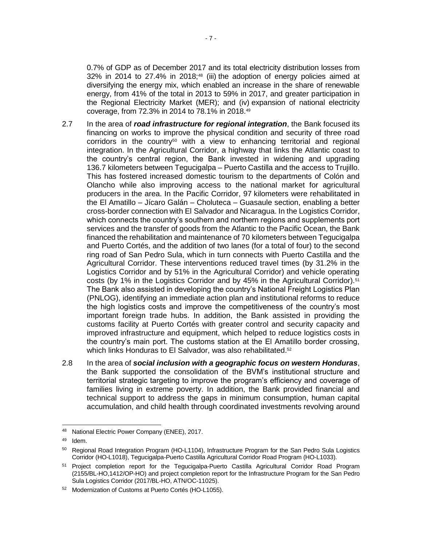0.7% of GDP as of December 2017 and its total electricity distribution losses from 32% in 2014 to 27.4% in 2018;<sup>48</sup> (iii) the adoption of energy policies aimed at diversifying the energy mix, which enabled an increase in the share of renewable energy, from 41% of the total in 2013 to 59% in 2017, and greater participation in the Regional Electricity Market (MER); and (iv) expansion of national electricity coverage, from 72.3% in 2014 to 78.1% in 2018.<sup>49</sup>

- 2.7 In the area of *road infrastructure for regional integration*, the Bank focused its financing on works to improve the physical condition and security of three road  $c$ orridors in the country<sup>50</sup> with a view to enhancing territorial and regional integration. In the Agricultural Corridor, a highway that links the Atlantic coast to the country's central region, the Bank invested in widening and upgrading 136.7 kilometers between Tegucigalpa – Puerto Castilla and the access to Trujillo. This has fostered increased domestic tourism to the departments of Colón and Olancho while also improving access to the national market for agricultural producers in the area. In the Pacific Corridor, 97 kilometers were rehabilitated in the El Amatillo – Jícaro Galán – Choluteca – Guasaule section, enabling a better cross-border connection with El Salvador and Nicaragua. In the Logistics Corridor, which connects the country's southern and northern regions and supplements port services and the transfer of goods from the Atlantic to the Pacific Ocean, the Bank financed the rehabilitation and maintenance of 70 kilometers between Tegucigalpa and Puerto Cortés, and the addition of two lanes (for a total of four) to the second ring road of San Pedro Sula, which in turn connects with Puerto Castilla and the Agricultural Corridor. These interventions reduced travel times (by 31.2% in the Logistics Corridor and by 51% in the Agricultural Corridor) and vehicle operating costs (by 1% in the Logistics Corridor and by 45% in the Agricultural Corridor).<sup>51</sup> The Bank also assisted in developing the country's National Freight Logistics Plan (PNLOG), identifying an immediate action plan and institutional reforms to reduce the high logistics costs and improve the competitiveness of the country's most important foreign trade hubs. In addition, the Bank assisted in providing the customs facility at Puerto Cortés with greater control and security capacity and improved infrastructure and equipment, which helped to reduce logistics costs in the country's main port. The customs station at the El Amatillo border crossing, which links Honduras to El Salvador, was also rehabilitated.<sup>52</sup>
- 2.8 In the area of *social inclusion with a geographic focus on western Honduras*, the Bank supported the consolidation of the BVM's institutional structure and territorial strategic targeting to improve the program's efficiency and coverage of families living in extreme poverty. In addition, the Bank provided financial and technical support to address the gaps in minimum consumption, human capital accumulation, and child health through coordinated investments revolving around

 <sup>48</sup> National Electric Power Company (ENEE), 2017.

 $49$  Idem.

<sup>&</sup>lt;sup>50</sup> Regional Road Integration Program (HO-L1104), Infrastructure Program for the San Pedro Sula Logistics Corridor (HO-L1018), Tegucigalpa-Puerto Castilla Agricultural Corridor Road Program (HO-L1033).

<sup>&</sup>lt;sup>51</sup> Project completion report for the Tequcigalpa-Puerto Castilla Agricultural Corridor Road Program (2155/BL-HO,1412/OP-HO) and project completion report for the Infrastructure Program for the San Pedro Sula Logistics Corridor (2017/BL-HO, ATN/OC-11025).

<sup>52</sup> Modernization of Customs at Puerto Cortés (HO-L1055).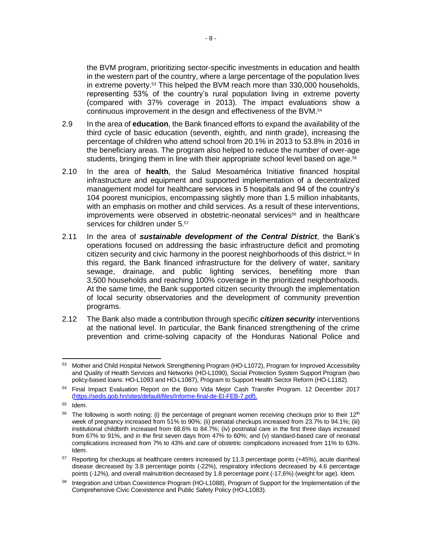the BVM program, prioritizing sector-specific investments in education and health in the western part of the country, where a large percentage of the population lives in extreme poverty.<sup>53</sup> This helped the BVM reach more than 330,000 households, representing 53% of the country's rural population living in extreme poverty (compared with 37% coverage in 2013). The impact evaluations show a continuous improvement in the design and effectiveness of the BVM.<sup>54</sup>

- 2.9 In the area of **education**, the Bank financed efforts to expand the availability of the third cycle of basic education (seventh, eighth, and ninth grade), increasing the percentage of children who attend school from 20.1% in 2013 to 53.8% in 2016 in the beneficiary areas. The program also helped to reduce the number of over-age students, bringing them in line with their appropriate school level based on age.<sup>55</sup>
- 2.10 In the area of **health**, the Salud Mesoamérica Initiative financed hospital infrastructure and equipment and supported implementation of a decentralized management model for healthcare services in 5 hospitals and 94 of the country's 104 poorest municipios, encompassing slightly more than 1.5 million inhabitants, with an emphasis on mother and child services. As a result of these interventions, improvements were observed in obstetric-neonatal services<sup>56</sup> and in healthcare services for children under 5.57
- 2.11 In the area of *sustainable development of the Central District*, the Bank's operations focused on addressing the basic infrastructure deficit and promoting citizen security and civic harmony in the poorest neighborhoods of this district.<sup>58</sup> In this regard, the Bank financed infrastructure for the delivery of water, sanitary sewage, drainage, and public lighting services, benefiting more than 3,500 households and reaching 100% coverage in the prioritized neighborhoods. At the same time, the Bank supported citizen security through the implementation of local security observatories and the development of community prevention programs.
- 2.12 The Bank also made a contribution through specific *citizen security* interventions at the national level. In particular, the Bank financed strengthening of the crime prevention and crime-solving capacity of the Honduras National Police and

 $\overline{a}$ 53 Mother and Child Hospital Network Strengthening Program (HO-L1072), Program for Improved Accessibility and Quality of Health Services and Networks (HO-L1090), Social Protection System Support Program (two policy-based loans: HO-L1093 and HO-L1087), Program to Support Health Sector Reform (HO-L1182).

<sup>54</sup> Final Impact Evaluation Report on the Bono Vida Mejor Cash Transfer Program. 12 December 2017 [\(https://sedis.gob.hn/sites/default/files/Informe-final-de-EI-FEB-7.pdf\)](https://sedis.gob.hn/sites/default/files/Informe-final-de-EI-FEB-7.pdf).

<sup>55</sup> Idem.

<sup>&</sup>lt;sup>56</sup> The following is worth noting: (i) the percentage of pregnant women receiving checkups prior to their 12<sup>th</sup> week of pregnancy increased from 51% to 90%; (ii) prenatal checkups increased from 23.7% to 94.1%; (iii) institutional childbirth increased from 68.6% to 84.7%; (iv) postnatal care in the first three days increased from 67% to 91%, and in the first seven days from 47% to 60%; and (v) standard-based care of neonatal complications increased from 7% to 43% and care of obstetric complications increased from 11% to 63%. Idem.

<sup>57</sup> Reporting for checkups at healthcare centers increased by 11.3 percentage points (+45%), acute diarrheal disease decreased by 3.8 percentage points (-22%), respiratory infections decreased by 4.6 percentage points (-12%), and overall malnutrition decreased by 1.8 percentage point (-17,6%) (weight for age). Idem.

<sup>58</sup> Integration and Urban Coexistence Program (HO-L1088), Program of Support for the Implementation of the Comprehensive Civic Coexistence and Public Safety Policy (HO-L1083).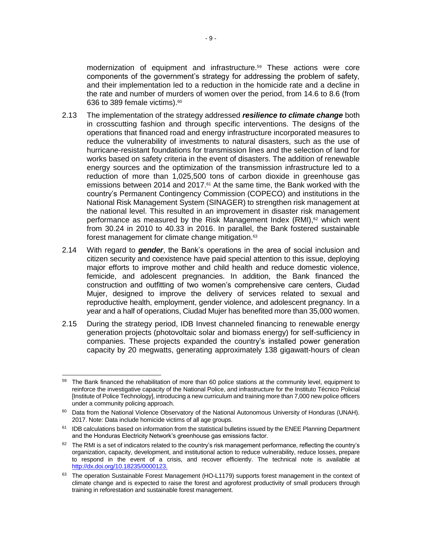modernization of equipment and infrastructure.<sup>59</sup> These actions were core components of the government's strategy for addressing the problem of safety, and their implementation led to a reduction in the homicide rate and a decline in the rate and number of murders of women over the period, from 14.6 to 8.6 (from 636 to 389 female victims).<sup>60</sup>

- 2.13 The implementation of the strategy addressed *resilience to climate change* both in crosscutting fashion and through specific interventions. The designs of the operations that financed road and energy infrastructure incorporated measures to reduce the vulnerability of investments to natural disasters, such as the use of hurricane-resistant foundations for transmission lines and the selection of land for works based on safety criteria in the event of disasters. The addition of renewable energy sources and the optimization of the transmission infrastructure led to a reduction of more than 1,025,500 tons of carbon dioxide in greenhouse gas emissions between 2014 and 2017.<sup>61</sup> At the same time, the Bank worked with the country's Permanent Contingency Commission (COPECO) and institutions in the National Risk Management System (SINAGER) to strengthen risk management at the national level. This resulted in an improvement in disaster risk management performance as measured by the Risk Management Index  $(RMI)$ ,<sup>62</sup> which went from 30.24 in 2010 to 40.33 in 2016. In parallel, the Bank fostered sustainable forest management for climate change mitigation.<sup>63</sup>
- 2.14 With regard to *gender*, the Bank's operations in the area of social inclusion and citizen security and coexistence have paid special attention to this issue, deploying major efforts to improve mother and child health and reduce domestic violence, femicide, and adolescent pregnancies. In addition, the Bank financed the construction and outfitting of two women's comprehensive care centers, Ciudad Mujer, designed to improve the delivery of services related to sexual and reproductive health, employment, gender violence, and adolescent pregnancy. In a year and a half of operations, Ciudad Mujer has benefited more than 35,000 women.
- 2.15 During the strategy period, IDB Invest channeled financing to renewable energy generation projects (photovoltaic solar and biomass energy) for self-sufficiency in companies. These projects expanded the country's installed power generation capacity by 20 megwatts, generating approximately 138 gigawatt-hours of clean

 <sup>59</sup> The Bank financed the rehabilitation of more than 60 police stations at the community level, equipment to reinforce the investigative capacity of the National Police, and infrastructure for the Instituto Técnico Policial [Institute of Police Technology], introducing a new curriculum and training more than 7,000 new police officers under a community policing approach.

<sup>&</sup>lt;sup>60</sup> Data from the National Violence Observatory of the National Autonomous University of Honduras (UNAH). 2017. Note: Data include homicide victims of all age groups.

<sup>&</sup>lt;sup>61</sup> IDB calculations based on information from the statistical bulletins issued by the ENEE Planning Department and the Honduras Electricity Network's greenhouse gas emissions factor.

 $62$  The RMI is a set of indicators related to the country's risk management performance, reflecting the country's organization, capacity, development, and institutional action to reduce vulnerability, reduce losses, prepare to respond in the event of a crisis, and recover efficiently. The technical note is available at [http://dx.doi.org/10.18235/0000123.](http://dx.doi.org/10.18235/0000123)

<sup>63</sup> The operation Sustainable Forest Management (HO-L1179) supports forest management in the context of climate change and is expected to raise the forest and agroforest productivity of small producers through training in reforestation and sustainable forest management.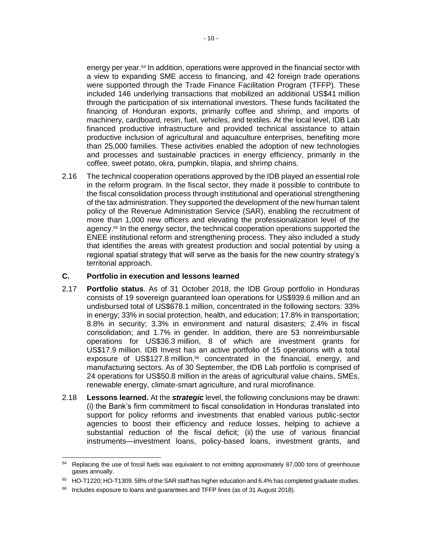energy per year.<sup>64</sup> In addition, operations were approved in the financial sector with a view to expanding SME access to financing, and 42 foreign trade operations were supported through the Trade Finance Facilitation Program (TFFP). These included 146 underlying transactions that mobilized an additional US\$41 million through the participation of six international investors. These funds facilitated the financing of Honduran exports, primarily coffee and shrimp, and imports of machinery, cardboard, resin, fuel, vehicles, and textiles. At the local level, IDB Lab financed productive infrastructure and provided technical assistance to attain productive inclusion of agricultural and aquaculture enterprises, benefiting more than 25,000 families. These activities enabled the adoption of new technologies and processes and sustainable practices in energy efficiency, primarily in the coffee, sweet potato, okra, pumpkin, tilapia, and shrimp chains.

2.16 The technical cooperation operations approved by the IDB played an essential role in the reform program. In the fiscal sector, they made it possible to contribute to the fiscal consolidation process through institutional and operational strengthening of the tax administration. They supported the development of the new human talent policy of the Revenue Administration Service (SAR), enabling the recruitment of more than 1,000 new officers and elevating the professionalization level of the agency.<sup>65</sup> In the energy sector, the technical cooperation operations supported the ENEE institutional reform and strengthening process. They also included a study that identifies the areas with greatest production and social potential by using a regional spatial strategy that will serve as the basis for the new country strategy's territorial approach.

#### **C. Portfolio in execution and lessons learned**

- 2.17 **Portfolio status**. As of 31 October 2018, the IDB Group portfolio in Honduras consists of 19 sovereign guaranteed loan operations for US\$939.6 million and an undisbursed total of US\$678.1 million, concentrated in the following sectors: 33% in energy; 33% in social protection, health, and education; 17.8% in transportation; 8.8% in security; 3.3% in environment and natural disasters; 2.4% in fiscal consolidation; and 1.7% in gender. In addition, there are 53 nonreimbursable operations for US\$36.3 million, 8 of which are investment grants for US\$17.9 million. IDB Invest has an active portfolio of 15 operations with a total exposure of US\$127.8 million,<sup>66</sup> concentrated in the financial, energy, and manufacturing sectors. As of 30 September, the IDB Lab portfolio is comprised of 24 operations for US\$50.8 million in the areas of agricultural value chains, SMEs, renewable energy, climate-smart agriculture, and rural microfinance.
- 2.18 **Lessons learned.** At the *strategic* level, the following conclusions may be drawn: (i) the Bank's firm commitment to fiscal consolidation in Honduras translated into support for policy reforms and investments that enabled various public-sector agencies to boost their efficiency and reduce losses, helping to achieve a substantial reduction of the fiscal deficit; (ii) the use of various financial instruments—investment loans, policy-based loans, investment grants, and

 $\overline{a}$  $64$  Replacing the use of fossil fuels was equivalent to not emitting approximately 87,000 tons of greenhouse gases annually.

<sup>65</sup> HO-T1220; HO-T1309. 58% of the SAR staff has higher education and 6.4% has completed graduate studies.

<sup>&</sup>lt;sup>66</sup> Includes exposure to loans and guarantees and TFFP lines (as of 31 August 2018).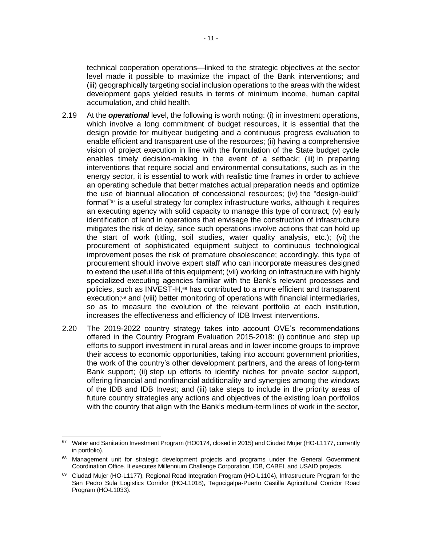technical cooperation operations—linked to the strategic objectives at the sector level made it possible to maximize the impact of the Bank interventions; and (iii) geographically targeting social inclusion operations to the areas with the widest development gaps yielded results in terms of minimum income, human capital accumulation, and child health.

- 2.19 At the *operational* level, the following is worth noting: (i) in investment operations, which involve a long commitment of budget resources, it is essential that the design provide for multiyear budgeting and a continuous progress evaluation to enable efficient and transparent use of the resources; (ii) having a comprehensive vision of project execution in line with the formulation of the State budget cycle enables timely decision-making in the event of a setback; (iii) in preparing interventions that require social and environmental consultations, such as in the energy sector, it is essential to work with realistic time frames in order to achieve an operating schedule that better matches actual preparation needs and optimize the use of biannual allocation of concessional resources; (iv) the "design-build" format"<sup>67</sup> is a useful strategy for complex infrastructure works, although it requires an executing agency with solid capacity to manage this type of contract; (v) early identification of land in operations that envisage the construction of infrastructure mitigates the risk of delay, since such operations involve actions that can hold up the start of work (titling, soil studies, water quality analysis, etc.); (vi) the procurement of sophisticated equipment subject to continuous technological improvement poses the risk of premature obsolescence; accordingly, this type of procurement should involve expert staff who can incorporate measures designed to extend the useful life of this equipment; (vii) working on infrastructure with highly specialized executing agencies familiar with the Bank's relevant processes and policies, such as INVEST-H,<sup>68</sup> has contributed to a more efficient and transparent execution;<sup>69</sup> and (viii) better monitoring of operations with financial intermediaries, so as to measure the evolution of the relevant portfolio at each institution, increases the effectiveness and efficiency of IDB Invest interventions.
- 2.20 The 2019-2022 country strategy takes into account OVE's recommendations offered in the Country Program Evaluation 2015-2018: (i) continue and step up efforts to support investment in rural areas and in lower income groups to improve their access to economic opportunities, taking into account government priorities, the work of the country's other development partners, and the areas of long-term Bank support; (ii) step up efforts to identify niches for private sector support, offering financial and nonfinancial additionality and synergies among the windows of the IDB and IDB Invest; and (iii) take steps to include in the priority areas of future country strategies any actions and objectives of the existing loan portfolios with the country that align with the Bank's medium-term lines of work in the sector,

<sup>67</sup> Water and Sanitation Investment Program (HO0174, closed in 2015) and Ciudad Mujer (HO-L1177, currently in portfolio).

<sup>&</sup>lt;sup>68</sup> Management unit for strategic development projects and programs under the General Government Coordination Office. It executes Millennium Challenge Corporation, IDB, CABEI, and USAID projects.

<sup>&</sup>lt;sup>69</sup> Ciudad Mujer (HO-L1177), Regional Road Integration Program (HO-L1104), Infrastructure Program for the San Pedro Sula Logistics Corridor (HO-L1018), Tegucigalpa-Puerto Castilla Agricultural Corridor Road Program (HO-L1033).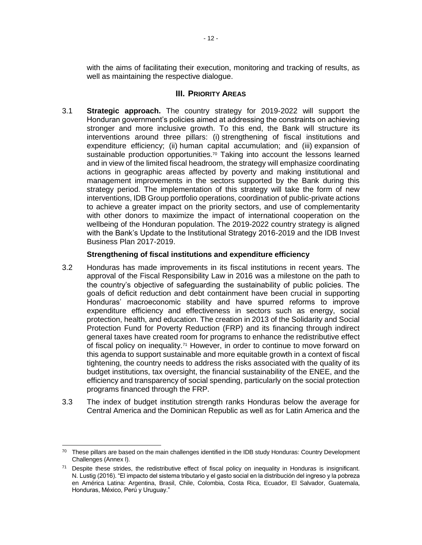with the aims of facilitating their execution, monitoring and tracking of results, as well as maintaining the respective dialogue.

### **III.** PRIORITY AREAS

3.1 **Strategic approach.** The country strategy for 2019-2022 will support the Honduran government's policies aimed at addressing the constraints on achieving stronger and more inclusive growth. To this end, the Bank will structure its interventions around three pillars: (i) strengthening of fiscal institutions and expenditure efficiency; (ii) human capital accumulation; and (iii) expansion of sustainable production opportunities.<sup>70</sup> Taking into account the lessons learned and in view of the limited fiscal headroom, the strategy will emphasize coordinating actions in geographic areas affected by poverty and making institutional and management improvements in the sectors supported by the Bank during this strategy period. The implementation of this strategy will take the form of new interventions, IDB Group portfolio operations, coordination of public-private actions to achieve a greater impact on the priority sectors, and use of complementarity with other donors to maximize the impact of international cooperation on the wellbeing of the Honduran population. The 2019-2022 country strategy is aligned with the Bank's Update to the Institutional Strategy 2016-2019 and the IDB Invest Business Plan 2017-2019.

### **Strengthening of fiscal institutions and expenditure efficiency**

- 3.2 Honduras has made improvements in its fiscal institutions in recent years. The approval of the Fiscal Responsibility Law in 2016 was a milestone on the path to the country's objective of safeguarding the sustainability of public policies. The goals of deficit reduction and debt containment have been crucial in supporting Honduras' macroeconomic stability and have spurred reforms to improve expenditure efficiency and effectiveness in sectors such as energy, social protection, health, and education. The creation in 2013 of the Solidarity and Social Protection Fund for Poverty Reduction (FRP) and its financing through indirect general taxes have created room for programs to enhance the redistributive effect of fiscal policy on inequality.<sup>71</sup> However, in order to continue to move forward on this agenda to support sustainable and more equitable growth in a context of fiscal tightening, the country needs to address the risks associated with the quality of its budget institutions, tax oversight, the financial sustainability of the ENEE, and the efficiency and transparency of social spending, particularly on the social protection programs financed through the FRP.
- 3.3 The index of budget institution strength ranks Honduras below the average for Central America and the Dominican Republic as well as for Latin America and the

<sup>&</sup>lt;sup>70</sup> These pillars are based on the main challenges identified in the IDB study Honduras: Country Development Challenges (Annex I).

 $71$  Despite these strides, the redistributive effect of fiscal policy on inequality in Honduras is insignificant. N. Lustig (2016). "El impacto del sistema tributario y el gasto social en la distribución del ingreso y la pobreza en América Latina: Argentina, Brasil, Chile, Colombia, Costa Rica, Ecuador, El Salvador, Guatemala, Honduras, México, Perú y Uruguay."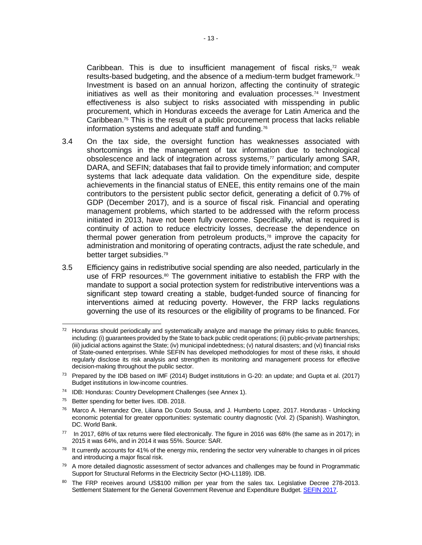Caribbean. This is due to insufficient management of fiscal risks, $72$  weak results-based budgeting, and the absence of a medium-term budget framework.<sup>73</sup> Investment is based on an annual horizon, affecting the continuity of strategic initiatives as well as their monitoring and evaluation processes.<sup>74</sup> Investment effectiveness is also subject to risks associated with misspending in public procurement, which in Honduras exceeds the average for Latin America and the Caribbean.<sup>75</sup> This is the result of a public procurement process that lacks reliable information systems and adequate staff and funding.<sup>76</sup>

- 3.4 On the tax side, the oversight function has weaknesses associated with shortcomings in the management of tax information due to technological obsolescence and lack of integration across systems,<sup>77</sup> particularly among SAR, DARA, and SEFIN; databases that fail to provide timely information; and computer systems that lack adequate data validation. On the expenditure side, despite achievements in the financial status of ENEE, this entity remains one of the main contributors to the persistent public sector deficit, generating a deficit of 0.7% of GDP (December 2017), and is a source of fiscal risk. Financial and operating management problems, which started to be addressed with the reform process initiated in 2013, have not been fully overcome. Specifically, what is required is continuity of action to reduce electricity losses, decrease the dependence on thermal power generation from petroleum products, $78$  improve the capacity for administration and monitoring of operating contracts, adjust the rate schedule, and better target subsidies.<sup>79</sup>
- 3.5 Efficiency gains in redistributive social spending are also needed, particularly in the use of FRP resources.<sup>80</sup> The government initiative to establish the FRP with the mandate to support a social protection system for redistributive interventions was a significant step toward creating a stable, budget-funded source of financing for interventions aimed at reducing poverty. However, the FRP lacks regulations governing the use of its resources or the eligibility of programs to be financed. For

<sup>75</sup> Better spending for better lives. IDB. 2018.

 <sup>72</sup> Honduras should periodically and systematically analyze and manage the primary risks to public finances, including: (i) guarantees provided by the State to back public credit operations; (ii) public-private partnerships; (iii) judicial actions against the State; (iv) municipal indebtedness; (v) natural disasters; and (vi) financial risks of State-owned enterprises. While SEFIN has developed methodologies for most of these risks, it should regularly disclose its risk analysis and strengthen its monitoring and management process for effective decision-making throughout the public sector.

<sup>73</sup> Prepared by the IDB based on IMF (2014) Budget institutions in G-20: an update; and Gupta et al. (2017) Budget institutions in low-income countries.

<sup>74</sup> IDB: Honduras: Country Development Challenges (see Annex 1).

<sup>76</sup> Marco A. Hernandez Ore, Liliana Do Couto Sousa, and J. Humberto Lopez. 2017. Honduras - Unlocking economic potential for greater opportunities: systematic country diagnostic (Vol. 2) (Spanish). Washington, DC. World Bank.

<sup>77</sup> In 2017, 68% of tax returns were filed electronically. The figure in 2016 was 68% (the same as in 2017); in 2015 it was 64%, and in 2014 it was 55%. Source: SAR.

<sup>&</sup>lt;sup>78</sup> It currently accounts for 41% of the energy mix, rendering the sector very vulnerable to changes in oil prices and introducing a major fiscal risk.

<sup>&</sup>lt;sup>79</sup> A more detailed diagnostic assessment of sector advances and challenges may be found in Programmatic Support for Structural Reforms in the Electricity Sector (HO-L1189). IDB.

<sup>80</sup> The FRP receives around US\$100 million per year from the sales tax. Legislative Decree 278-2013. Settlement Statement for the General Government Revenue and Expenditure Budget[. SEFIN 2017.](http://www.sefin.gob.hn/wp-content/uploads/Presupuesto/2017/liquidacion/Liquidaci%C3%B3n%202017.pdf)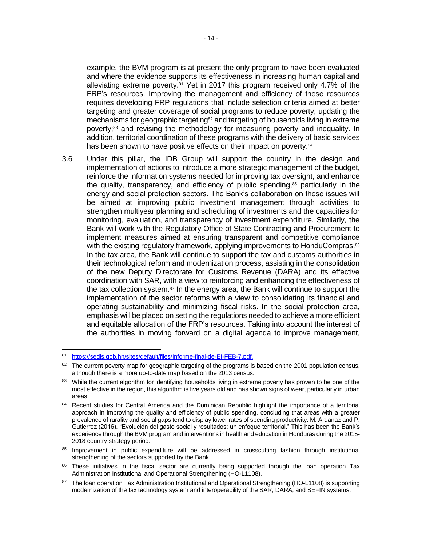example, the BVM program is at present the only program to have been evaluated and where the evidence supports its effectiveness in increasing human capital and alleviating extreme poverty.<sup>81</sup> Yet in 2017 this program received only 4.7% of the FRP's resources. Improving the management and efficiency of these resources requires developing FRP regulations that include selection criteria aimed at better targeting and greater coverage of social programs to reduce poverty; updating the mechanisms for geographic targeting<sup>82</sup> and targeting of households living in extreme poverty;<sup>83</sup> and revising the methodology for measuring poverty and inequality. In addition, territorial coordination of these programs with the delivery of basic services has been shown to have positive effects on their impact on poverty.<sup>84</sup>

3.6 Under this pillar, the IDB Group will support the country in the design and implementation of actions to introduce a more strategic management of the budget, reinforce the information systems needed for improving tax oversight, and enhance the quality, transparency, and efficiency of public spending,<sup>85</sup> particularly in the energy and social protection sectors. The Bank's collaboration on these issues will be aimed at improving public investment management through activities to strengthen multiyear planning and scheduling of investments and the capacities for monitoring, evaluation, and transparency of investment expenditure. Similarly, the Bank will work with the Regulatory Office of State Contracting and Procurement to implement measures aimed at ensuring transparent and competitive compliance with the existing regulatory framework, applying improvements to HonduCompras.<sup>86</sup> In the tax area, the Bank will continue to support the tax and customs authorities in their technological reform and modernization process, assisting in the consolidation of the new Deputy Directorate for Customs Revenue (DARA) and its effective coordination with SAR, with a view to reinforcing and enhancing the effectiveness of the tax collection system. $87$  In the energy area, the Bank will continue to support the implementation of the sector reforms with a view to consolidating its financial and operating sustainability and minimizing fiscal risks. In the social protection area, emphasis will be placed on setting the regulations needed to achieve a more efficient and equitable allocation of the FRP's resources. Taking into account the interest of the authorities in moving forward on a digital agenda to improve management,

- 86 These initiatives in the fiscal sector are currently being supported through the loan operation Tax Administration Institutional and Operational Strengthening (HO-L1108).
- 87 The loan operation Tax Administration Institutional and Operational Strengthening (HO-L1108) is supporting modernization of the tax technology system and interoperability of the SAR, DARA, and SEFIN systems.

<sup>81</sup> [https://sedis.gob.hn/sites/default/files/Informe-final-de-EI-FEB-7.pdf.](https://sedis.gob.hn/sites/default/files/Informe-final-de-EI-FEB-7.pdf)

<sup>&</sup>lt;sup>82</sup> The current poverty map for geographic targeting of the programs is based on the 2001 population census, although there is a more up-to-date map based on the 2013 census.

<sup>&</sup>lt;sup>83</sup> While the current algorithm for identifying households living in extreme poverty has proven to be one of the most effective in the region, this algorithm is five years old and has shown signs of wear, particularly in urban areas.

<sup>84</sup> Recent studies for Central America and the Dominican Republic highlight the importance of a territorial approach in improving the quality and efficiency of public spending, concluding that areas with a greater prevalence of rurality and social gaps tend to display lower rates of spending productivity. M. Ardanaz and P. Gutierrez (2016). "Evolución del gasto social y resultados: un enfoque territorial." This has been the Bank's experience through the BVM program and interventions in health and education in Honduras during the 2015- 2018 country strategy period.

<sup>85</sup> Improvement in public expenditure will be addressed in crosscutting fashion through institutional strengthening of the sectors supported by the Bank.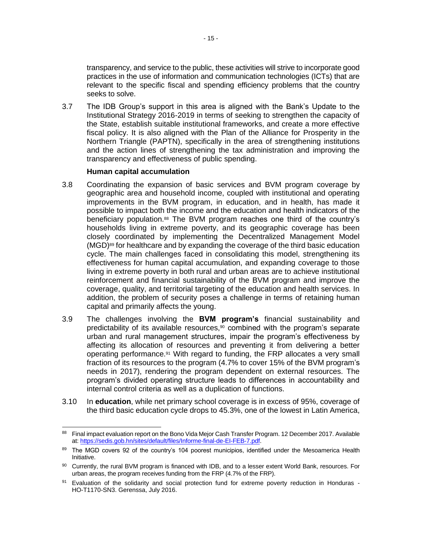transparency, and service to the public, these activities will strive to incorporate good practices in the use of information and communication technologies (ICTs) that are relevant to the specific fiscal and spending efficiency problems that the country seeks to solve.

3.7 The IDB Group's support in this area is aligned with the Bank's Update to the Institutional Strategy 2016-2019 in terms of seeking to strengthen the capacity of the State, establish suitable institutional frameworks, and create a more effective fiscal policy. It is also aligned with the Plan of the Alliance for Prosperity in the Northern Triangle (PAPTN), specifically in the area of strengthening institutions and the action lines of strengthening the tax administration and improving the transparency and effectiveness of public spending.

#### **Human capital accumulation**

- 3.8 Coordinating the expansion of basic services and BVM program coverage by geographic area and household income, coupled with institutional and operating improvements in the BVM program, in education, and in health, has made it possible to impact both the income and the education and health indicators of the beneficiary population.<sup>88</sup> The BVM program reaches one third of the country's households living in extreme poverty, and its geographic coverage has been closely coordinated by implementing the Decentralized Management Model (MGD) <sup>89</sup> for healthcare and by expanding the coverage of the third basic education cycle. The main challenges faced in consolidating this model, strengthening its effectiveness for human capital accumulation, and expanding coverage to those living in extreme poverty in both rural and urban areas are to achieve institutional reinforcement and financial sustainability of the BVM program and improve the coverage, quality, and territorial targeting of the education and health services. In addition, the problem of security poses a challenge in terms of retaining human capital and primarily affects the young.
- 3.9 The challenges involving the **BVM program's** financial sustainability and predictability of its available resources,<sup>90</sup> combined with the program's separate urban and rural management structures, impair the program's effectiveness by affecting its allocation of resources and preventing it from delivering a better operating performance.<sup>91</sup> With regard to funding, the FRP allocates a very small fraction of its resources to the program (4.7% to cover 15% of the BVM program's needs in 2017), rendering the program dependent on external resources. The program's divided operating structure leads to differences in accountability and internal control criteria as well as a duplication of functions.
- 3.10 In **education**, while net primary school coverage is in excess of 95%, coverage of the third basic education cycle drops to 45.3%, one of the lowest in Latin America,

 88 Final impact evaluation report on the Bono Vida Mejor Cash Transfer Program. 12 December 2017. Available at[: https://sedis.gob.hn/sites/default/files/Informe-final-de-EI-FEB-7.pdf.](https://sedis.gob.hn/sites/default/files/Informe-final-de-EI-FEB-7.pdf)

<sup>89</sup> The MGD covers 92 of the country's 104 poorest municipios, identified under the Mesoamerica Health Initiative.

<sup>90</sup> Currently, the rural BVM program is financed with IDB, and to a lesser extent World Bank, resources. For urban areas, the program receives funding from the FRP (4.7% of the FRP).

<sup>91</sup> Evaluation of the solidarity and social protection fund for extreme poverty reduction in Honduras -HO-T1170-SN3. Gerenssa, July 2016.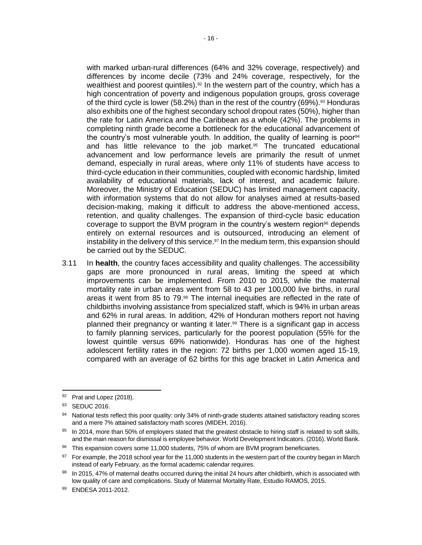with marked urban-rural differences (64% and 32% coverage, respectively) and differences by income decile (73% and 24% coverage, respectively, for the wealthiest and poorest quintiles).<sup>92</sup> In the western part of the country, which has a high concentration of poverty and indigenous population groups, gross coverage of the third cycle is lower (58.2%) than in the rest of the country (69%).<sup>93</sup> Honduras also exhibits one of the highest secondary school dropout rates (50%), higher than the rate for Latin America and the Caribbean as a whole (42%). The problems in completing ninth grade become a bottleneck for the educational advancement of the country's most vulnerable youth. In addition, the quality of learning is poor $94$ and has little relevance to the job market.<sup>95</sup> The truncated educational advancement and low performance levels are primarily the result of unmet demand, especially in rural areas, where only 11% of students have access to third-cycle education in their communities, coupled with economic hardship, limited availability of educational materials, lack of interest, and academic failure. Moreover, the Ministry of Education (SEDUC) has limited management capacity, with information systems that do not allow for analyses aimed at results-based

decision-making, making it difficult to address the above-mentioned access, retention, and quality challenges. The expansion of third-cycle basic education coverage to support the BVM program in the country's western region<sup>96</sup> depends entirely on external resources and is outsourced, introducing an element of instability in the delivery of this service.<sup>97</sup> In the medium term, this expansion should be carried out by the SEDUC.

3.11 In **health**, the country faces accessibility and quality challenges. The accessibility gaps are more pronounced in rural areas, limiting the speed at which improvements can be implemented. From 2010 to 2015, while the maternal mortality rate in urban areas went from 58 to 43 per 100,000 live births, in rural areas it went from 85 to 79.<sup>98</sup> The internal inequities are reflected in the rate of childbirths involving assistance from specialized staff, which is 94% in urban areas and 62% in rural areas. In addition, 42% of Honduran mothers report not having planned their pregnancy or wanting it later.<sup>99</sup> There is a significant gap in access to family planning services, particularly for the poorest population (55% for the lowest quintile versus 69% nationwide). Honduras has one of the highest adolescent fertility rates in the region: 72 births per 1,000 women aged 15-19, compared with an average of 62 births for this age bracket in Latin America and

 92 Prat and Lopez (2018).

<sup>93</sup> SEDUC 2016.

<sup>94</sup> National tests reflect this poor quality: only 34% of ninth-grade students attained satisfactory reading scores and a mere 7% attained satisfactory math scores (MIDEH, 2016).

<sup>95</sup> In 2014, more than 50% of employers stated that the greatest obstacle to hiring staff is related to soft skills, and the main reason for dismissal is employee behavior. World Development Indicators. (2016). World Bank.

<sup>96</sup> This expansion covers some 11,000 students, 75% of whom are BVM program beneficiaries.

<sup>&</sup>lt;sup>97</sup> For example, the 2018 school year for the 11,000 students in the western part of the country began in March instead of early February, as the formal academic calendar requires.

<sup>98</sup> In 2015, 47% of maternal deaths occurred during the initial 24 hours after childbirth, which is associated with low quality of care and complications. Study of Maternal Mortality Rate, Estudio RAMOS, 2015.

<sup>99</sup> ENDESA 2011-2012.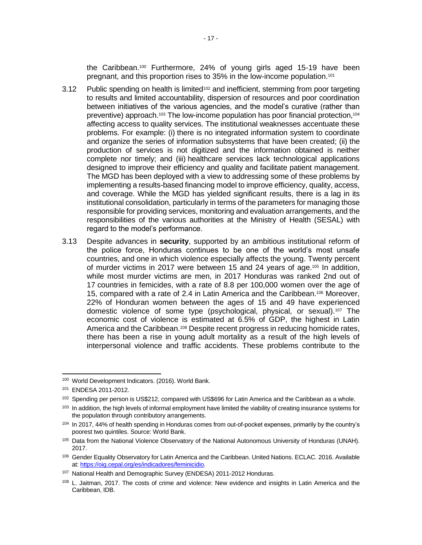the Caribbean.<sup>100</sup> Furthermore, 24% of young girls aged 15-19 have been pregnant, and this proportion rises to 35% in the low-income population.<sup>101</sup>

- 3.12 Public spending on health is limited<sup>102</sup> and inefficient, stemming from poor targeting to results and limited accountability, dispersion of resources and poor coordination between initiatives of the various agencies, and the model's curative (rather than preventive) approach.<sup>103</sup> The low-income population has poor financial protection,<sup>104</sup> affecting access to quality services. The institutional weaknesses accentuate these problems. For example: (i) there is no integrated information system to coordinate and organize the series of information subsystems that have been created; (ii) the production of services is not digitized and the information obtained is neither complete nor timely; and (iii) healthcare services lack technological applications designed to improve their efficiency and quality and facilitate patient management. The MGD has been deployed with a view to addressing some of these problems by implementing a results-based financing model to improve efficiency, quality, access, and coverage. While the MGD has yielded significant results, there is a lag in its institutional consolidation, particularly in terms of the parameters for managing those responsible for providing services, monitoring and evaluation arrangements, and the responsibilities of the various authorities at the Ministry of Health (SESAL) with regard to the model's performance.
- 3.13 Despite advances in **security**, supported by an ambitious institutional reform of the police force, Honduras continues to be one of the world's most unsafe countries, and one in which violence especially affects the young. Twenty percent of murder victims in 2017 were between 15 and 24 years of age. <sup>105</sup> In addition, while most murder victims are men, in 2017 Honduras was ranked 2nd out of 17 countries in femicides, with a rate of 8.8 per 100,000 women over the age of 15, compared with a rate of 2.4 in Latin America and the Caribbean.<sup>106</sup> Moreover, 22% of Honduran women between the ages of 15 and 49 have experienced domestic violence of some type (psychological, physical, or sexual).<sup>107</sup> The economic cost of violence is estimated at 6.5% of GDP, the highest in Latin America and the Caribbean.<sup>108</sup> Despite recent progress in reducing homicide rates, there has been a rise in young adult mortality as a result of the high levels of interpersonal violence and traffic accidents. These problems contribute to the

 $\overline{a}$ 

<sup>100</sup> World Development Indicators. (2016). World Bank.

<sup>101</sup> ENDESA 2011-2012.

<sup>&</sup>lt;sup>102</sup> Spending per person is US\$212, compared with US\$696 for Latin America and the Caribbean as a whole.

<sup>&</sup>lt;sup>103</sup> In addition, the high levels of informal employment have limited the viability of creating insurance systems for the population through contributory arrangements.

<sup>104</sup> In 2017, 44% of health spending in Honduras comes from out-of-pocket expenses, primarily by the country's poorest two quintiles. Source: World Bank.

<sup>105</sup> Data from the National Violence Observatory of the National Autonomous University of Honduras (UNAH). 2017.

<sup>106</sup> Gender Equality Observatory for Latin America and the Caribbean. United Nations. ECLAC. 2016. Available at[: https://oig.cepal.org/es/indicadores/feminicidio.](https://oig.cepal.org/es/indicadores/feminicidio)

<sup>107</sup> National Health and Demographic Survey (ENDESA) 2011-2012 Honduras.

<sup>108</sup> L. Jaitman, 2017. The costs of crime and violence: New evidence and insights in Latin America and the Caribbean, IDB.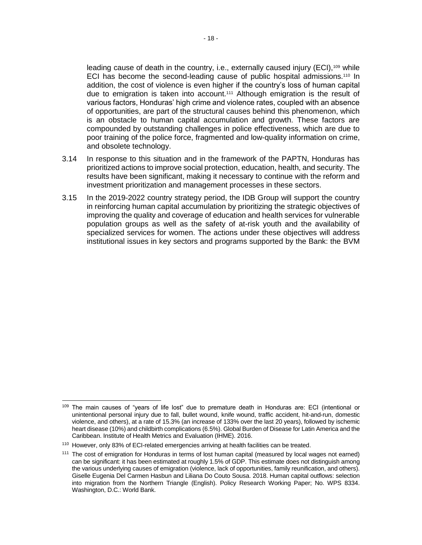leading cause of death in the country, i.e., externally caused injury (ECI),<sup>109</sup> while ECI has become the second-leading cause of public hospital admissions.<sup>110</sup> In addition, the cost of violence is even higher if the country's loss of human capital due to emigration is taken into account.<sup>111</sup> Although emigration is the result of various factors, Honduras' high crime and violence rates, coupled with an absence of opportunities, are part of the structural causes behind this phenomenon, which is an obstacle to human capital accumulation and growth. These factors are compounded by outstanding challenges in police effectiveness, which are due to poor training of the police force, fragmented and low-quality information on crime, and obsolete technology.

- 3.14 In response to this situation and in the framework of the PAPTN, Honduras has prioritized actions to improve social protection, education, health, and security. The results have been significant, making it necessary to continue with the reform and investment prioritization and management processes in these sectors.
- 3.15 In the 2019-2022 country strategy period, the IDB Group will support the country in reinforcing human capital accumulation by prioritizing the strategic objectives of improving the quality and coverage of education and health services for vulnerable population groups as well as the safety of at-risk youth and the availability of specialized services for women. The actions under these objectives will address institutional issues in key sectors and programs supported by the Bank: the BVM

 <sup>109</sup> The main causes of "years of life lost" due to premature death in Honduras are: ECI (intentional or unintentional personal injury due to fall, bullet wound, knife wound, traffic accident, hit-and-run, domestic violence, and others), at a rate of 15.3% (an increase of 133% over the last 20 years), followed by ischemic heart disease (10%) and childbirth complications (6.5%). Global Burden of Disease for Latin America and the Caribbean. Institute of Health Metrics and Evaluation (IHME). 2016.

<sup>110</sup> However, only 83% of ECI-related emergencies arriving at health facilities can be treated.

<sup>111</sup> The cost of emigration for Honduras in terms of lost human capital (measured by local wages not earned) can be significant: it has been estimated at roughly 1.5% of GDP. This estimate does not distinguish among the various underlying causes of emigration (violence, lack of opportunities, family reunification, and others). Giselle Eugenia Del Carmen Hasbun and Liliana Do Couto Sousa. 2018. Human capital outflows: selection into migration from the Northern Triangle (English). Policy Research Working Paper; No. WPS 8334. Washington, D.C.: World Bank.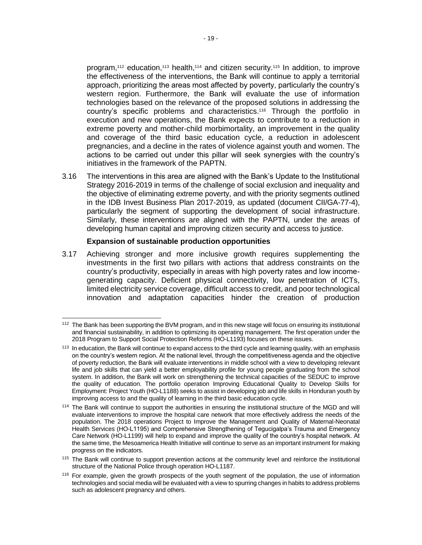program, <sup>112</sup> education,<sup>113</sup> health,<sup>114</sup> and citizen security.<sup>115</sup> In addition, to improve the effectiveness of the interventions, the Bank will continue to apply a territorial approach, prioritizing the areas most affected by poverty, particularly the country's western region. Furthermore, the Bank will evaluate the use of information technologies based on the relevance of the proposed solutions in addressing the country's specific problems and characteristics.<sup>116</sup> Through the portfolio in execution and new operations, the Bank expects to contribute to a reduction in extreme poverty and mother-child morbimortality, an improvement in the quality and coverage of the third basic education cycle, a reduction in adolescent pregnancies, and a decline in the rates of violence against youth and women. The actions to be carried out under this pillar will seek synergies with the country's initiatives in the framework of the PAPTN.

3.16 The interventions in this area are aligned with the Bank's Update to the Institutional Strategy 2016-2019 in terms of the challenge of social exclusion and inequality and the objective of eliminating extreme poverty, and with the priority segments outlined in the IDB Invest Business Plan 2017-2019, as updated (document CII/GA-77-4), particularly the segment of supporting the development of social infrastructure. Similarly, these interventions are aligned with the PAPTN, under the areas of developing human capital and improving citizen security and access to justice.

#### **Expansion of sustainable production opportunities**

3.17 Achieving stronger and more inclusive growth requires supplementing the investments in the first two pillars with actions that address constraints on the country's productivity, especially in areas with high poverty rates and low incomegenerating capacity. Deficient physical connectivity, low penetration of ICTs, limited electricity service coverage, difficult access to credit, and poor technological innovation and adaptation capacities hinder the creation of production

 <sup>112</sup> The Bank has been supporting the BVM program, and in this new stage will focus on ensuring its institutional and financial sustainability, in addition to optimizing its operating management. The first operation under the 2018 Program to Support Social Protection Reforms (HO-L1193) focuses on these issues.

<sup>&</sup>lt;sup>113</sup> In education, the Bank will continue to expand access to the third cycle and learning quality, with an emphasis on the country's western region. At the national level, through the competitiveness agenda and the objective of poverty reduction, the Bank will evaluate interventions in middle school with a view to developing relevant life and job skills that can yield a better employability profile for young people graduating from the school system. In addition, the Bank will work on strengthening the technical capacities of the SEDUC to improve the quality of education. The portfolio operation Improving Educational Quality to Develop Skills for Employment: Project Youth (HO-L1188) seeks to assist in developing job and life skills in Honduran youth by improving access to and the quality of learning in the third basic education cycle.

<sup>&</sup>lt;sup>114</sup> The Bank will continue to support the authorities in ensuring the institutional structure of the MGD and will evaluate interventions to improve the hospital care network that more effectively address the needs of the population. The 2018 operations Project to Improve the Management and Quality of Maternal-Neonatal Health Services (HO-L1195) and Comprehensive Strengthening of Tegucigalpa's Trauma and Emergency Care Network (HO-L1199) will help to expand and improve the quality of the country's hospital network. At the same time, the Mesoamerica Health Initiative will continue to serve as an important instrument for making progress on the indicators.

<sup>&</sup>lt;sup>115</sup> The Bank will continue to support prevention actions at the community level and reinforce the institutional structure of the National Police through operation HO-L1187.

<sup>&</sup>lt;sup>116</sup> For example, given the growth prospects of the youth segment of the population, the use of information technologies and social media will be evaluated with a view to spurring changes in habits to address problems such as adolescent pregnancy and others.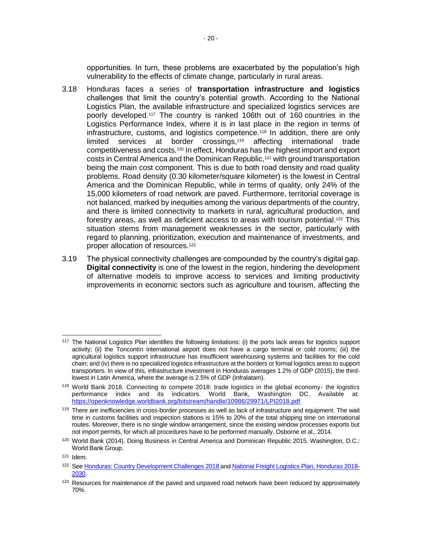opportunities. In turn, these problems are exacerbated by the population's high vulnerability to the effects of climate change, particularly in rural areas.

- 3.18 Honduras faces a series of **transportation infrastructure and logistics** challenges that limit the country's potential growth. According to the National Logistics Plan, the available infrastructure and specialized logistics services are poorly developed.<sup>117</sup> The country is ranked 106th out of 160 countries in the Logistics Performance Index, where it is in last place in the region in terms of infrastructure, customs, and logistics competence.<sup>118</sup> In addition, there are only limited services at border crossings,<sup>119</sup> affecting international trade competitiveness and costs.<sup>120</sup> In effect, Honduras has the highest import and export costs in Central America and the Dominican Republic,<sup>121</sup> with ground transportation being the main cost component. This is due to both road density and road quality problems. Road density (0.30 kilometer/square kilometer) is the lowest in Central America and the Dominican Republic, while in terms of quality, only 24% of the 15,000 kilometers of road network are paved. Furthermore, territorial coverage is not balanced, marked by inequities among the various departments of the country, and there is limited connectivity to markets in rural, agricultural production, and forestry areas, as well as deficient access to areas with tourism potential.<sup>122</sup> This situation stems from management weaknesses in the sector, particularly with regard to planning, prioritization, execution and maintenance of investments, and proper allocation of resources.<sup>123</sup>
- 3.19 The physical connectivity challenges are compounded by the country's digital gap. **Digital connectivity** is one of the lowest in the region, hindering the development of alternative models to improve access to services and limiting productivity improvements in economic sectors such as agriculture and tourism, affecting the

 <sup>117</sup> The National Logistics Plan identifies the following limitations: (i) the ports lack areas for logistics support activity; (ii) the Toncontín international airport does not have a cargo terminal or cold rooms; (iii) the agricultural logistics support infrastructure has insufficient warehousing systems and facilities for the cold chain; and (iv) there is no specialized logistics infrastructure at the borders or formal logistics areas to support transporters. In view of this, infrastructure investment in Honduras averages 1.2% of GDP (2015), the thirdlowest in Latin America, where the average is 2.5% of GDP (Infralatam).

<sup>118</sup> World Bank 2018. Connecting to compete 2018: trade logistics in the global economy- the logistics performance index and its indicators. World Bank, Washington DC. Available at: <https://openknowledge.worldbank.org/bitstream/handle/10986/29971/LPI2018.pdf>

<sup>&</sup>lt;sup>119</sup> There are inefficiencies in cross-border processes as well as lack of infrastructure and equipment. The wait time in customs facilities and inspection stations is 15% to 20% of the total shipping time on international routes. Moreover, there is no single window arrangement, since the existing window processes exports but not import permits, for which all procedures have to be performed manually. Osborne et al., 2014.

<sup>120</sup> World Bank (2014). Doing Business in Central America and Dominican Republic 2015. Washington, D.C.: World Bank Group.

 $121$  Idem.

<sup>122</sup> Se[e Honduras: Country Development Challenges](http://idbdocs.iadb.org/wsdocs/getDocument.aspx?DOCNUM=EZSHARE-1305851907-4) 2018 and [National Freight Logistics Plan,](https://www.iadb.org/Document.cfm?id=EZSHARE-1644203697-4) Honduras 2018-[2030.](https://www.iadb.org/Document.cfm?id=EZSHARE-1644203697-4)

<sup>&</sup>lt;sup>123</sup> Resources for maintenance of the paved and unpaved road network have been reduced by approximately 70%.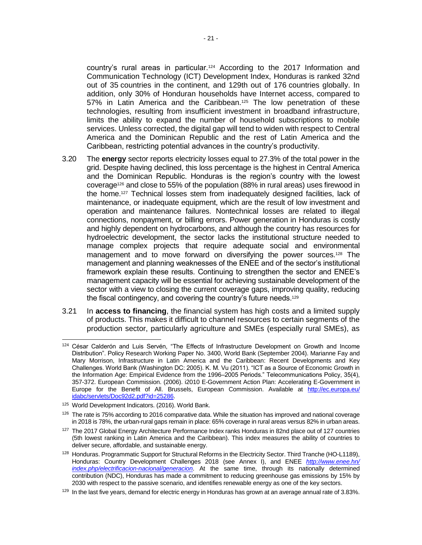country's rural areas in particular.<sup>124</sup> According to the 2017 Information and Communication Technology (ICT) Development Index, Honduras is ranked 32nd out of 35 countries in the continent, and 129th out of 176 countries globally. In addition, only 30% of Honduran households have Internet access, compared to 57% in Latin America and the Caribbean.<sup>125</sup> The low penetration of these technologies, resulting from insufficient investment in broadband infrastructure, limits the ability to expand the number of household subscriptions to mobile services. Unless corrected, the digital gap will tend to widen with respect to Central America and the Dominican Republic and the rest of Latin America and the Caribbean, restricting potential advances in the country's productivity.

- 3.20 The **energy** sector reports electricity losses equal to 27.3% of the total power in the grid. Despite having declined, this loss percentage is the highest in Central America and the Dominican Republic. Honduras is the region's country with the lowest coverage<sup>126</sup> and close to 55% of the population (88% in rural areas) uses firewood in the home.<sup>127</sup> Technical losses stem from inadequately designed facilities, lack of maintenance, or inadequate equipment, which are the result of low investment and operation and maintenance failures. Nontechnical losses are related to illegal connections, nonpayment, or billing errors. Power generation in Honduras is costly and highly dependent on hydrocarbons, and although the country has resources for hydroelectric development, the sector lacks the institutional structure needed to manage complex projects that require adequate social and environmental management and to move forward on diversifying the power sources.<sup>128</sup> The management and planning weaknesses of the ENEE and of the sector's institutional framework explain these results. Continuing to strengthen the sector and ENEE's management capacity will be essential for achieving sustainable development of the sector with a view to closing the current coverage gaps, improving quality, reducing the fiscal contingency, and covering the country's future needs.<sup>129</sup>
- 3.21 In **access to financing**, the financial system has high costs and a limited supply of products. This makes it difficult to channel resources to certain segments of the production sector, particularly agriculture and SMEs (especially rural SMEs), as

 <sup>124</sup> César Calderón and Luis Servén, "The Effects of Infrastructure Development on Growth and Income Distribution". Policy Research Working Paper No. 3400, World Bank (September 2004). Marianne Fay and Mary Morrison, Infrastructure in Latin America and the Caribbean: Recent Developments and Key Challenges. World Bank (Washington DC: 2005). K. M. Vu (2011). "ICT as a Source of Economic Growth in the Information Age: Empirical Evidence from the 1996–2005 Periods." Telecommunications Policy, 35(4), 357-372. European Commission. (2006). i2010 E-Government Action Plan: Accelerating E-Government in Europe for the Benefit of All. Brussels, European Commission. Available at [http://ec.europa.eu/](http://ec.europa.eu/‌idabc/servlets/Doc92d2.pdf?id=25286) [idabc/servlets/Doc92d2.pdf?id=25286.](http://ec.europa.eu/‌idabc/servlets/Doc92d2.pdf?id=25286)

<sup>125</sup> World Development Indicators. (2016). World Bank.

<sup>&</sup>lt;sup>126</sup> The rate is 75% according to 2016 comparative data. While the situation has improved and national coverage in 2018 is 78%, the urban-rural gaps remain in place: 65% coverage in rural areas versus 82% in urban areas.

<sup>&</sup>lt;sup>127</sup> The 2017 Global Energy Architecture Performance Index ranks Honduras in 82nd place out of 127 countries (5th lowest ranking in Latin America and the Caribbean). This index measures the ability of countries to deliver secure, affordable, and sustainable energy.

<sup>128</sup> Honduras. Programmatic Support for Structural Reforms in the Electricity Sector. Third Tranche (HO-L1189), Honduras: Country Development Challenges 2018 (see Annex I), and ENEE *[http://www.enee.hn/](http://www.enee.hn/index.php/electrificacion-nacional/generacion) [index.php/electrificacion-nacional/generacion](http://www.enee.hn/index.php/electrificacion-nacional/generacion)*. At the same time, through its nationally determined contribution (NDC), Honduras has made a commitment to reducing greenhouse gas emissions by 15% by 2030 with respect to the passive scenario, and identifies renewable energy as one of the key sectors.

 $129$  In the last five years, demand for electric energy in Honduras has grown at an average annual rate of 3.83%.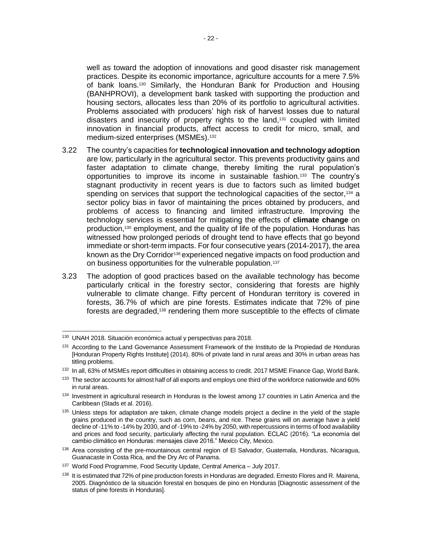well as toward the adoption of innovations and good disaster risk management practices. Despite its economic importance, agriculture accounts for a mere 7.5% of bank loans.<sup>130</sup> Similarly, the Honduran Bank for Production and Housing (BANHPROVI), a development bank tasked with supporting the production and housing sectors, allocates less than 20% of its portfolio to agricultural activities. Problems associated with producers' high risk of harvest losses due to natural disasters and insecurity of property rights to the land,<sup>131</sup> coupled with limited innovation in financial products, affect access to credit for micro, small, and medium-sized enterprises (MSMEs).<sup>132</sup>

- 3.22 The country's capacities for **technological innovation and technology adoption** are low, particularly in the agricultural sector. This prevents productivity gains and faster adaptation to climate change, thereby limiting the rural population's opportunities to improve its income in sustainable fashion.<sup>133</sup> The country's stagnant productivity in recent years is due to factors such as limited budget spending on services that support the technological capacities of the sector,<sup>134</sup> a sector policy bias in favor of maintaining the prices obtained by producers, and problems of access to financing and limited infrastructure. Improving the technology services is essential for mitigating the effects of **climate change** on production,<sup>135</sup> employment, and the quality of life of the population. Honduras has witnessed how prolonged periods of drought tend to have effects that go beyond immediate or short-term impacts. For four consecutive years (2014-2017), the area known as the Dry Corridor<sup>136</sup> experienced negative impacts on food production and on business opportunities for the vulnerable population.<sup>137</sup>
- 3.23 The adoption of good practices based on the available technology has become particularly critical in the forestry sector, considering that forests are highly vulnerable to climate change. Fifty percent of Honduran territory is covered in forests, 36.7% of which are pine forests. Estimates indicate that 72% of pine forests are degraded,<sup>138</sup> rendering them more susceptible to the effects of climate

 <sup>130</sup> UNAH 2018. Situación económica actual y perspectivas para 2018.

<sup>&</sup>lt;sup>131</sup> According to the Land Governance Assessment Framework of the Instituto de la Propiedad de Honduras [Honduran Property Rights Institute] (2014), 80% of private land in rural areas and 30% in urban areas has titling problems.

<sup>132</sup> In all, 63% of MSMEs report difficulties in obtaining access to credit. 2017 MSME Finance Gap, World Bank.

<sup>&</sup>lt;sup>133</sup> The sector accounts for almost half of all exports and employs one third of the workforce nationwide and 60% in rural areas.

<sup>134</sup> Investment in agricultural research in Honduras is the lowest among 17 countries in Latin America and the Caribbean (Stads et al. 2016).

<sup>135</sup> Unless steps for adaptation are taken, climate change models project a decline in the yield of the staple grains produced in the country, such as corn, beans, and rice. These grains will on average have a yield decline of -11% to -14% by 2030, and of -19% to -24% by 2050, with repercussions in terms of food availability and prices and food security, particularly affecting the rural population. ECLAC (2016). "La economía del cambio climático en Honduras: mensajes clave 2016." Mexico City, Mexico.

<sup>136</sup> Area consisting of the pre-mountainous central region of El Salvador, Guatemala, Honduras, Nicaragua, Guanacaste in Costa Rica, and the Dry Arc of Panama.

<sup>137</sup> World Food Programme, Food Security Update, Central America – July 2017.

<sup>&</sup>lt;sup>138</sup> It is estimated that 72% of pine production forests in Honduras are degraded. Ernesto Flores and R. Mairena, 2005. Diagnóstico de la situación forestal en bosques de pino en Honduras [Diagnostic assessment of the status of pine forests in Honduras].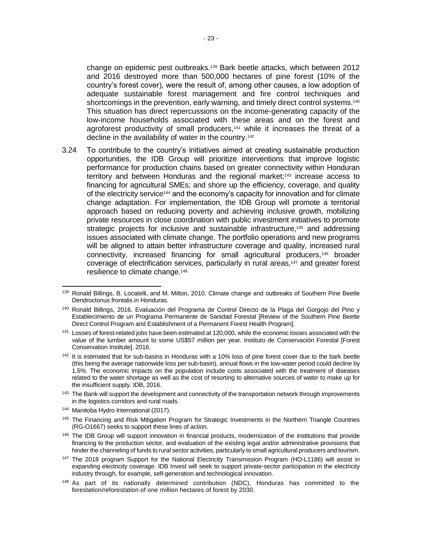change on epidemic pest outbreaks.<sup>139</sup> Bark beetle attacks, which between 2012 and 2016 destroyed more than 500,000 hectares of pine forest (10% of the country's forest cover), were the result of, among other causes, a low adoption of adequate sustainable forest management and fire control techniques and shortcomings in the prevention, early warning, and timely direct control systems.<sup>140</sup> This situation has direct repercussions on the income-generating capacity of the low-income households associated with these areas and on the forest and agroforest productivity of small producers,<sup>141</sup> while it increases the threat of a decline in the availability of water in the country.<sup>142</sup>

3.24 To contribute to the country's initiatives aimed at creating sustainable production opportunities, the IDB Group will prioritize interventions that improve logistic performance for production chains based on greater connectivity within Honduran territory and between Honduras and the regional market;<sup>143</sup> increase access to financing for agricultural SMEs; and shore up the efficiency, coverage, and quality of the electricity service<sup>144</sup> and the economy's capacity for innovation and for climate change adaptation. For implementation, the IDB Group will promote a territorial approach based on reducing poverty and achieving inclusive growth, mobilizing private resources in close coordination with public investment initiatives to promote strategic projects for inclusive and sustainable infrastructure,<sup>145</sup> and addressing issues associated with climate change. The portfolio operations and new programs will be aligned to attain better infrastructure coverage and quality, increased rural connectivity, increased financing for small agricultural producers,<sup>146</sup> broader coverage of electrification services, particularly in rural areas,<sup>147</sup> and greater forest resilience to climate change.<sup>148</sup>

<sup>144</sup> Manitoba Hydro International (2017).

<sup>139</sup> Ronald Billings, B. Locatelli, and M. Milton, 2010. Climate change and outbreaks of Southern Pine Beetle Dendroctonus frontalis in Honduras.

<sup>140</sup> Ronald Billings, 2016. Evaluación del Programa de Control Directo de la Plaga del Gorgojo del Pino y Establecimiento de un Programa Permanente de Sanidad Forestal [Review of the Southern Pine Beetle Direct Control Program and Establishment of a Permanent Forest Health Program].

<sup>141</sup> Losses of forest-related jobs have been estimated at 120,000, while the economic losses associated with the value of the lumber amount to some US\$57 million per year. Instituto de Conservación Forestal [Forest Conservation Institute]. 2016.

<sup>&</sup>lt;sup>142</sup> It is estimated that for sub-basins in Honduras with a 10% loss of pine forest cover due to the bark beetle (this being the average nationwide loss per sub-basin), annual flows in the low-water period could decline by 1.5%. The economic impacts on the population include costs associated with the treatment of diseases related to the water shortage as well as the cost of resorting to alternative sources of water to make up for the insufficient supply. IDB, 2016.

<sup>&</sup>lt;sup>143</sup> The Bank will support the development and connectivity of the transportation network through improvements in the logistics corridors and rural roads.

<sup>&</sup>lt;sup>145</sup> The Financing and Risk Mitigation Program for Strategic Investments in the Northern Triangle Countries (RG-O1667) seeks to support these lines of action.

<sup>&</sup>lt;sup>146</sup> The IDB Group will support innovation in financial products, modernization of the institutions that provide financing to the production sector, and evaluation of the existing legal and/or administrative provisions that hinder the channeling of funds to rural sector activities, particularly to small agricultural producers and tourism.

<sup>&</sup>lt;sup>147</sup> The 2018 program Support for the National Electricity Transmission Program (HO-L1186) will assist in expanding electricity coverage. IDB Invest will seek to support private-sector participation in the electricity industry through, for example, self-generation and technological innovation.

<sup>&</sup>lt;sup>148</sup> As part of its nationally determined contribution (NDC), Honduras has committed to the forestation/reforestation of one million hectares of forest by 2030.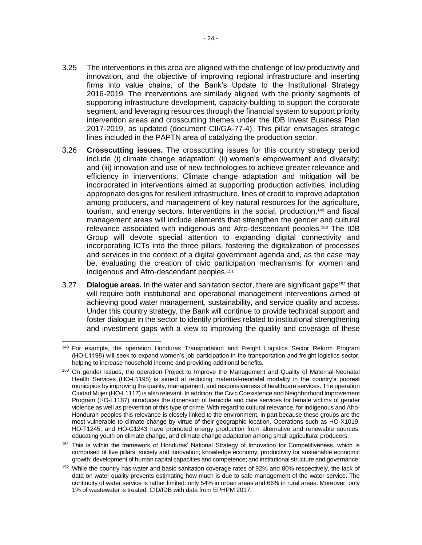- 3.25 The interventions in this area are aligned with the challenge of low productivity and innovation, and the objective of improving regional infrastructure and inserting firms into value chains, of the Bank's Update to the Institutional Strategy 2016-2019. The interventions are similarly aligned with the priority segments of supporting infrastructure development, capacity-building to support the corporate segment, and leveraging resources through the financial system to support priority intervention areas and crosscutting themes under the IDB Invest Business Plan 2017-2019, as updated (document CII/GA-77-4). This pillar envisages strategic lines included in the PAPTN area of catalyzing the production sector.
- 3.26 **Crosscutting issues.** The crosscutting issues for this country strategy period include (i) climate change adaptation; (ii) women's empowerment and diversity; and (iii) innovation and use of new technologies to achieve greater relevance and efficiency in interventions. Climate change adaptation and mitigation will be incorporated in interventions aimed at supporting production activities, including appropriate designs for resilient infrastructure, lines of credit to improve adaptation among producers, and management of key natural resources for the agriculture, tourism, and energy sectors. Interventions in the social, production,<sup>149</sup> and fiscal management areas will include elements that strengthen the gender and cultural relevance associated with indigenous and Afro-descendant peoples.<sup>150</sup> The IDB Group will devote special attention to expanding digital connectivity and incorporating ICTs into the three pillars, fostering the digitalization of processes and services in the context of a digital government agenda and, as the case may be, evaluating the creation of civic participation mechanisms for women and indigenous and Afro-descendant peoples.<sup>151</sup>
- 3.27 **Dialogue areas.** In the water and sanitation sector, there are significant gaps<sup>152</sup> that will require both institutional and operational management interventions aimed at achieving good water management, sustainability, and service quality and access. Under this country strategy, the Bank will continue to provide technical support and foster dialogue in the sector to identify priorities related to institutional strengthening and investment gaps with a view to improving the quality and coverage of these

 <sup>149</sup> For example, the operation Honduras Transportation and Freight Logistics Sector Reform Program (HO-L1198) will seek to expand women's job participation in the transportation and freight logistics sector, helping to increase household income and providing additional benefits.

<sup>&</sup>lt;sup>150</sup> On gender issues, the operation Project to Improve the Management and Quality of Maternal-Neonatal Health Services (HO-L1195) is aimed at reducing maternal-neonatal mortality in the country's poorest municipios by improving the quality, management, and responsiveness of healthcare services. The operation Ciudad Mujer (HO-L1117) is also relevant. In addition, the Civic Coexistence and Neighborhood Improvement Program (HO-L1187) introduces the dimension of femicide and care services for female victims of gender violence as well as prevention of this type of crime. With regard to cultural relevance, for indigenous and Afro-Honduran peoples this relevance is closely linked to the environment, in part because these groups are the most vulnerable to climate change by virtue of their geographic location. Operations such as HO-X1019, HO-T1245, and HO-G1243 have promoted energy production from alternative and renewable sources, educating youth on climate change, and climate change adaptation among small agricultural producers.

<sup>&</sup>lt;sup>151</sup> This is within the framework of Honduras' National Strategy of Innovation for Competitiveness, which is comprised of five pillars: society and innovation; knowledge economy; productivity for sustainable economic growth; development of human capital capacities and competence; and institutional structure and governance.

<sup>&</sup>lt;sup>152</sup> While the country has water and basic sanitation coverage rates of 92% and 80% respectively, the lack of data on water quality prevents estimating how much is due to safe management of the water service. The continuity of water service is rather limited: only 54% in urban areas and 66% in rural areas. Moreover, only 1% of wastewater is treated. CID/IDB with data from EPHPM 2017.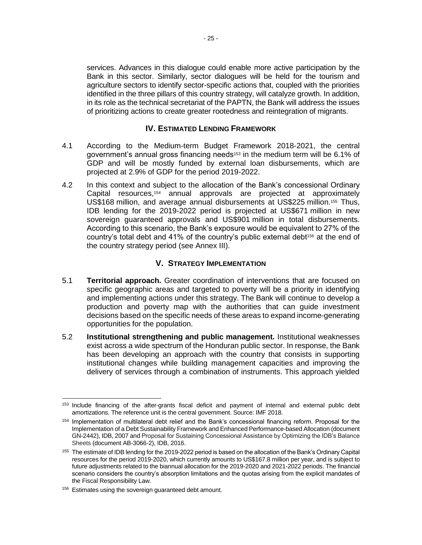services. Advances in this dialogue could enable more active participation by the Bank in this sector. Similarly, sector dialogues will be held for the tourism and agriculture sectors to identify sector-specific actions that, coupled with the priorities identified in the three pillars of this country strategy, will catalyze growth. In addition, in its role as the technical secretariat of the PAPTN, the Bank will address the issues of prioritizing actions to create greater rootedness and reintegration of migrants.

# **IV. ESTIMATED LENDING FRAMEWORK**

- 4.1 According to the Medium-term Budget Framework 2018-2021, the central government's annual gross financing needs<sup>153</sup> in the medium term will be 6.1% of GDP and will be mostly funded by external loan disbursements, which are projected at 2.9% of GDP for the period 2019-2022.
- 4.2 In this context and subject to the allocation of the Bank's concessional Ordinary Capital resources,<sup>154</sup> annual approvals are projected at approximately US\$168 million, and average annual disbursements at US\$225 million.<sup>155</sup> Thus, IDB lending for the 2019-2022 period is projected at US\$671 million in new sovereign guaranteed approvals and US\$901 million in total disbursements. According to this scenario, the Bank's exposure would be equivalent to 27% of the country's total debt and 41% of the country's public external debt<sup>156</sup> at the end of the country strategy period (see Annex III).

# **V. STRATEGY IMPLEMENTATION**

- 5.1 **Territorial approach.** Greater coordination of interventions that are focused on specific geographic areas and targeted to poverty will be a priority in identifying and implementing actions under this strategy. The Bank will continue to develop a production and poverty map with the authorities that can guide investment decisions based on the specific needs of these areas to expand income-generating opportunities for the population.
- 5.2 **Institutional strengthening and public management.** Institutional weaknesses exist across a wide spectrum of the Honduran public sector. In response, the Bank has been developing an approach with the country that consists in supporting institutional changes while building management capacities and improving the delivery of services through a combination of instruments. This approach yielded

 <sup>153</sup> Include financing of the after-grants fiscal deficit and payment of internal and external public debt amortizations. The reference unit is the central government. Source: IMF 2018.

<sup>154</sup> Implementation of multilateral debt relief and the Bank's concessional financing reform. Proposal for the Implementation of a Debt Sustainability Framework and Enhanced Performance-based Allocation (document GN-2442), IDB, 2007 and Proposal for Sustaining Concessional Assistance by Optimizing the IDB's Balance Sheets (document AB-3066-2), IDB, 2016.

<sup>&</sup>lt;sup>155</sup> The estimate of IDB lending for the 2019-2022 period is based on the allocation of the Bank's Ordinary Capital resources for the period 2019-2020, which currently amounts to US\$167.8 million per year, and is subject to future adjustments related to the biannual allocation for the 2019-2020 and 2021-2022 periods. The financial scenario considers the country's absorption limitations and the quotas arising from the explicit mandates of the Fiscal Responsibility Law.

<sup>&</sup>lt;sup>156</sup> Estimates using the sovereign guaranteed debt amount.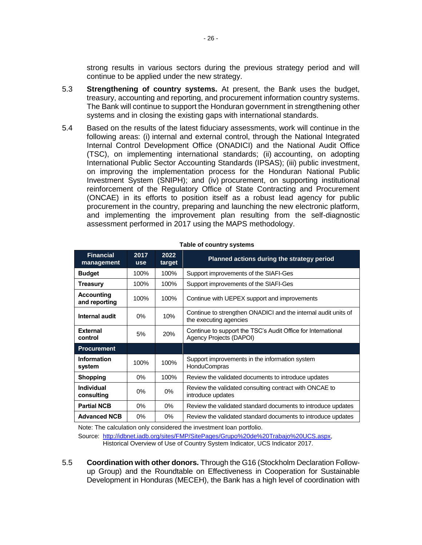strong results in various sectors during the previous strategy period and will continue to be applied under the new strategy.

- 5.3 **Strengthening of country systems.** At present, the Bank uses the budget, treasury, accounting and reporting, and procurement information country systems. The Bank will continue to support the Honduran government in strengthening other systems and in closing the existing gaps with international standards.
- 5.4 Based on the results of the latest fiduciary assessments, work will continue in the following areas: (i) internal and external control, through the National Integrated Internal Control Development Office (ONADICI) and the National Audit Office (TSC), on implementing international standards; (ii) accounting, on adopting International Public Sector Accounting Standards (IPSAS); (iii) public investment, on improving the implementation process for the Honduran National Public Investment System (SNIPH); and (iv) procurement, on supporting institutional reinforcement of the Regulatory Office of State Contracting and Procurement (ONCAE) in its efforts to position itself as a robust lead agency for public procurement in the country, preparing and launching the new electronic platform, and implementing the improvement plan resulting from the self-diagnostic assessment performed in 2017 using the MAPS methodology.

| <b>Financial</b><br>management     | 2017<br><b>use</b> | 2022<br>target | Planned actions during the strategy period                                               |  |  |  |  |
|------------------------------------|--------------------|----------------|------------------------------------------------------------------------------------------|--|--|--|--|
| <b>Budget</b>                      | 100%               | 100%           | Support improvements of the SIAFI-Ges                                                    |  |  |  |  |
| Treasury                           | 100%               | 100%           | Support improvements of the SIAFI-Ges                                                    |  |  |  |  |
| <b>Accounting</b><br>and reporting | 100%               | 100%           | Continue with UEPEX support and improvements                                             |  |  |  |  |
| Internal audit                     | $0\%$              | 10%            | Continue to strengthen ONADICI and the internal audit units of<br>the executing agencies |  |  |  |  |
| <b>External</b><br>control         | 5%                 | 20%            | Continue to support the TSC's Audit Office for International<br>Agency Projects (DAPOI)  |  |  |  |  |
| <b>Procurement</b>                 |                    |                |                                                                                          |  |  |  |  |
| Information<br>system              | 100%               | 100%           | Support improvements in the information system<br><b>HonduCompras</b>                    |  |  |  |  |
| <b>Shopping</b>                    | $0\%$              | 100%           | Review the validated documents to introduce updates                                      |  |  |  |  |
| Individual<br>consulting           | $0\%$              | $0\%$          | Review the validated consulting contract with ONCAE to<br>introduce updates              |  |  |  |  |
| <b>Partial NCB</b>                 | $0\%$              | $0\%$          | Review the validated standard documents to introduce updates                             |  |  |  |  |
| <b>Advanced NCB</b>                | 0%                 | 0%             | Review the validated standard documents to introduce updates                             |  |  |  |  |

**Table of country systems**

Note: The calculation only considered the investment loan portfolio.

Source: [http://idbnet.iadb.org/sites/FMP/SitePages/Grupo%20de%20Trabajo%20UCS.aspx,](http://idbnet.iadb.org/sites/FMP/SitePages/Grupo%20de%20Trabajo%20UCS.aspx) Historical Overview of Use of Country System Indicator, UCS Indicator 2017.

5.5 **Coordination with other donors.** Through the G16 (Stockholm Declaration Followup Group) and the Roundtable on Effectiveness in Cooperation for Sustainable Development in Honduras (MECEH), the Bank has a high level of coordination with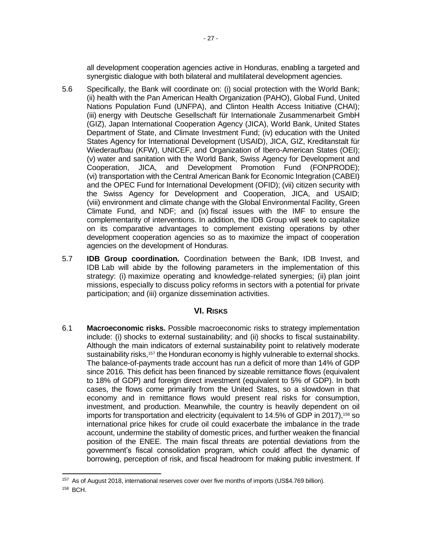all development cooperation agencies active in Honduras, enabling a targeted and synergistic dialogue with both bilateral and multilateral development agencies.

- 5.6 Specifically, the Bank will coordinate on: (i) social protection with the World Bank; (ii) health with the Pan American Health Organization (PAHO), Global Fund, United Nations Population Fund (UNFPA), and Clinton Health Access Initiative (CHAI); (iii) energy with Deutsche Gesellschaft für Internationale Zusammenarbeit GmbH (GIZ), Japan International Cooperation Agency (JICA), World Bank, United States Department of State, and Climate Investment Fund; (iv) education with the United States Agency for International Development (USAID), JICA, GIZ, Kreditanstalt für Wiederaufbau (KFW), UNICEF, and Organization of Ibero-American States (OEI); (v) water and sanitation with the World Bank, Swiss Agency for Development and Cooperation, JICA, and Development Promotion Fund (FONPRODE); (vi) transportation with the Central American Bank for Economic Integration (CABEI) and the OPEC Fund for International Development (OFID); (vii) citizen security with the Swiss Agency for Development and Cooperation, JICA, and USAID; (viii) environment and climate change with the Global Environmental Facility, Green Climate Fund, and NDF; and (ix) fiscal issues with the IMF to ensure the complementarity of interventions. In addition, the IDB Group will seek to capitalize on its comparative advantages to complement existing operations by other development cooperation agencies so as to maximize the impact of cooperation agencies on the development of Honduras.
- 5.7 **IDB Group coordination.** Coordination between the Bank, IDB Invest, and IDB Lab will abide by the following parameters in the implementation of this strategy: (i) maximize operating and knowledge-related synergies; (ii) plan joint missions, especially to discuss policy reforms in sectors with a potential for private participation; and (iii) organize dissemination activities.

# **VI. RISKS**

6.1 **Macroeconomic risks.** Possible macroeconomic risks to strategy implementation include: (i) shocks to external sustainability; and (ii) shocks to fiscal sustainability. Although the main indicators of external sustainability point to relatively moderate sustainability risks,<sup>157</sup> the Honduran economy is highly vulnerable to external shocks. The balance-of-payments trade account has run a deficit of more than 14% of GDP since 2016. This deficit has been financed by sizeable remittance flows (equivalent to 18% of GDP) and foreign direct investment (equivalent to 5% of GDP). In both cases, the flows come primarily from the United States, so a slowdown in that economy and in remittance flows would present real risks for consumption, investment, and production. Meanwhile, the country is heavily dependent on oil imports for transportation and electricity (equivalent to 14.5% of GDP in 2017),<sup>158</sup> so international price hikes for crude oil could exacerbate the imbalance in the trade account, undermine the stability of domestic prices, and further weaken the financial position of the ENEE. The main fiscal threats are potential deviations from the government's fiscal consolidation program, which could affect the dynamic of borrowing, perception of risk, and fiscal headroom for making public investment. If

 $\overline{a}$ 

<sup>&</sup>lt;sup>157</sup> As of August 2018, international reserves cover over five months of imports (US\$4.769 billion). <sup>158</sup> BCH.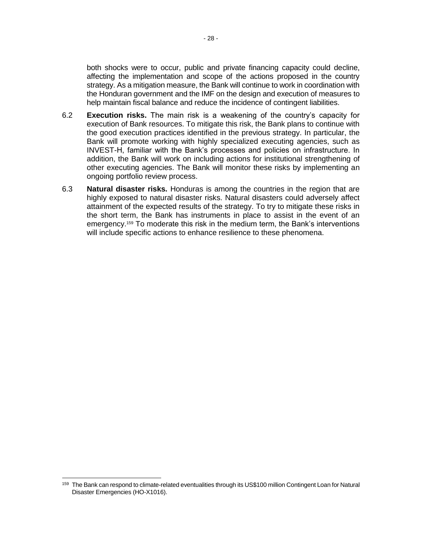both shocks were to occur, public and private financing capacity could decline, affecting the implementation and scope of the actions proposed in the country strategy. As a mitigation measure, the Bank will continue to work in coordination with the Honduran government and the IMF on the design and execution of measures to help maintain fiscal balance and reduce the incidence of contingent liabilities.

- 6.2 **Execution risks.** The main risk is a weakening of the country's capacity for execution of Bank resources. To mitigate this risk, the Bank plans to continue with the good execution practices identified in the previous strategy. In particular, the Bank will promote working with highly specialized executing agencies, such as INVEST-H, familiar with the Bank's processes and policies on infrastructure. In addition, the Bank will work on including actions for institutional strengthening of other executing agencies. The Bank will monitor these risks by implementing an ongoing portfolio review process.
- 6.3 **Natural disaster risks.** Honduras is among the countries in the region that are highly exposed to natural disaster risks. Natural disasters could adversely affect attainment of the expected results of the strategy. To try to mitigate these risks in the short term, the Bank has instruments in place to assist in the event of an emergency.<sup>159</sup> To moderate this risk in the medium term, the Bank's interventions will include specific actions to enhance resilience to these phenomena.

 $\overline{a}$ 

<sup>159</sup> The Bank can respond to climate-related eventualities through its US\$100 million Contingent Loan for Natural Disaster Emergencies (HO-X1016).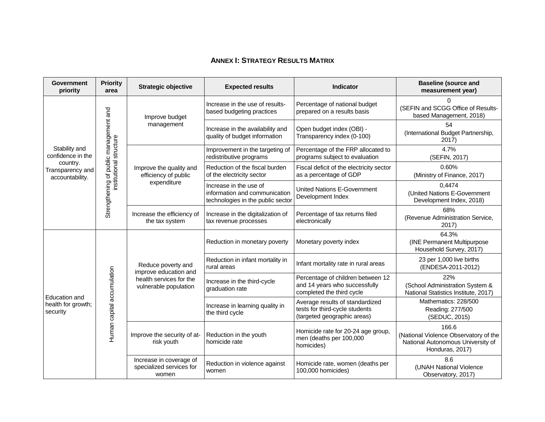# **ANNEX I: STRATEGY RESULTS MATRIX**

| <b>Government</b><br>priority                   | <b>Priority</b><br>area                | <b>Strategic objective</b>                                   | <b>Expected results</b>                                                                      | <b>Indicator</b>                                                                                 | <b>Baseline (source and</b><br>measurement year)                                                       |
|-------------------------------------------------|----------------------------------------|--------------------------------------------------------------|----------------------------------------------------------------------------------------------|--------------------------------------------------------------------------------------------------|--------------------------------------------------------------------------------------------------------|
|                                                 |                                        | Improve budget                                               | Increase in the use of results-<br>based budgeting practices                                 | Percentage of national budget<br>prepared on a results basis                                     | 0<br>(SEFIN and SCGG Office of Results-<br>based Management, 2018)                                     |
|                                                 |                                        | management                                                   | Increase in the availability and<br>quality of budget information                            | Open budget index (OBI) -<br>Transparency index (0-100)                                          | 54<br>(International Budget Partnership,<br>$2017$ )                                                   |
| Stability and<br>confidence in the              |                                        |                                                              | Improvement in the targeting of<br>redistributive programs                                   | Percentage of the FRP allocated to<br>programs subject to evaluation                             | 4.7%<br>(SEFIN, 2017)                                                                                  |
| country.<br>Transparency and<br>accountability. | institutional structure                | Improve the quality and<br>efficiency of public              | Reduction of the fiscal burden<br>of the electricity sector                                  | Fiscal deficit of the electricity sector<br>as a percentage of GDP                               | 0.60%<br>(Ministry of Finance, 2017)                                                                   |
|                                                 | Strengthening of public management and | expenditure                                                  | Increase in the use of<br>information and communication<br>technologies in the public sector | United Nations E-Government<br>Development Index                                                 | 0,4474<br>(United Nations E-Government<br>Development Index, 2018)                                     |
|                                                 |                                        | Increase the efficiency of<br>the tax system                 | Increase in the digitalization of<br>tax revenue processes                                   | Percentage of tax returns filed<br>electronically                                                | 68%<br>(Revenue Administration Service,<br>2017)                                                       |
|                                                 |                                        |                                                              | Reduction in monetary poverty                                                                | Monetary poverty index                                                                           | 64.3%<br>(INE Permanent Multipurpose<br>Household Survey, 2017)                                        |
|                                                 |                                        | Reduce poverty and<br>improve education and                  | Reduction in infant mortality in<br>rural areas                                              | Infant mortality rate in rural areas                                                             | 23 per 1,000 live births<br>(ENDESA-2011-2012)                                                         |
| Education and                                   |                                        | health services for the<br>vulnerable population             | Increase in the third-cycle<br>graduation rate                                               | Percentage of children between 12<br>and 14 years who successfully<br>completed the third cycle  | 22%<br>(School Administration System &<br>National Statistics Institute, 2017)                         |
| health for growth;<br>security                  | Human capital accumulation             |                                                              | Increase in learning quality in<br>the third cycle                                           | Average results of standardized<br>tests for third-cycle students<br>(targeted geographic areas) | Mathematics: 228/500<br>Reading: 277/500<br>(SEDUC, 2015)                                              |
|                                                 |                                        | Improve the security of at-<br>risk youth                    | Reduction in the youth<br>homicide rate                                                      | Homicide rate for 20-24 age group,<br>men (deaths per 100,000<br>homicides)                      | 166.6<br>(National Violence Observatory of the<br>National Autonomous University of<br>Honduras, 2017) |
|                                                 |                                        | Increase in coverage of<br>specialized services for<br>women | Reduction in violence against<br>women                                                       | Homicide rate, women (deaths per<br>100,000 homicides)                                           | 8.6<br>(UNAH National Violence<br>Observatory, 2017)                                                   |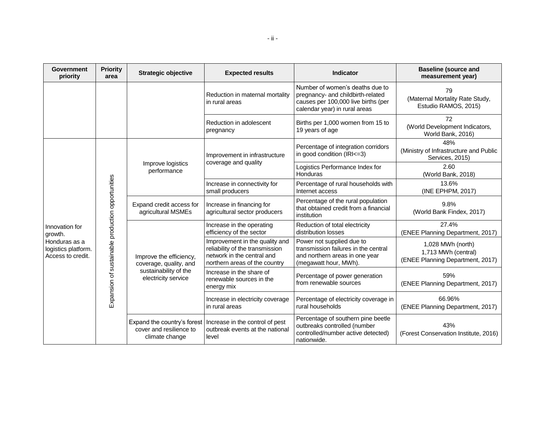| <b>Government</b><br>priority                                                          | <b>Priority</b><br>area                           | <b>Strategic objective</b>                                               | <b>Expected results</b>                                                     | <b>Indicator</b>                                                                                                                             | <b>Baseline (source and</b><br>measurement year)                 |                                                                                                                                  |                                                                                                                              |
|----------------------------------------------------------------------------------------|---------------------------------------------------|--------------------------------------------------------------------------|-----------------------------------------------------------------------------|----------------------------------------------------------------------------------------------------------------------------------------------|------------------------------------------------------------------|----------------------------------------------------------------------------------------------------------------------------------|------------------------------------------------------------------------------------------------------------------------------|
|                                                                                        |                                                   |                                                                          | Reduction in maternal mortality<br>in rural areas                           | Number of women's deaths due to<br>pregnancy- and childbirth-related<br>causes per 100,000 live births (per<br>calendar year) in rural areas | 79<br>(Maternal Mortality Rate Study,<br>Estudio RAMOS, 2015)    |                                                                                                                                  |                                                                                                                              |
|                                                                                        |                                                   |                                                                          | Reduction in adolescent<br>pregnancy                                        | Births per 1,000 women from 15 to<br>19 years of age                                                                                         | 72<br>(World Development Indicators,<br>World Bank, 2016)        |                                                                                                                                  |                                                                                                                              |
|                                                                                        |                                                   |                                                                          | Improvement in infrastructure<br>coverage and quality                       | Percentage of integration corridors<br>in good condition (IRI<=3)                                                                            | 48%<br>(Ministry of Infrastructure and Public<br>Services, 2015) |                                                                                                                                  |                                                                                                                              |
| Innovation for<br>growth.<br>Honduras as a<br>logistics platform.<br>Access to credit. |                                                   | Improve logistics<br>performance                                         |                                                                             | Logistics Performance Index for<br>Honduras                                                                                                  | 2.60<br>(World Bank, 2018)                                       |                                                                                                                                  |                                                                                                                              |
|                                                                                        | Expansion of sustainable production opportunities |                                                                          | Increase in connectivity for<br>small producers                             | Percentage of rural households with<br>Internet access                                                                                       | 13.6%<br>(INE EPHPM, 2017)                                       |                                                                                                                                  |                                                                                                                              |
|                                                                                        |                                                   |                                                                          |                                                                             | Expand credit access for<br>agricultural MSMEs                                                                                               | Increase in financing for<br>agricultural sector producers       | Percentage of the rural population<br>that obtained credit from a financial<br>institution                                       | 9.8%<br>(World Bank Findex, 2017)                                                                                            |
|                                                                                        |                                                   |                                                                          |                                                                             |                                                                                                                                              | Increase in the operating<br>efficiency of the sector            | Reduction of total electricity<br>distribution losses                                                                            | 27.4%<br>(ENEE Planning Department, 2017)                                                                                    |
|                                                                                        |                                                   |                                                                          |                                                                             |                                                                                                                                              | Improve the efficiency,<br>coverage, quality, and                | Improvement in the quality and<br>reliability of the transmission<br>network in the central and<br>northern areas of the country | Power not supplied due to<br>transmission failures in the central<br>and northern areas in one year<br>(megawatt hour, MWh). |
|                                                                                        |                                                   | sustainability of the<br>electricity service                             | Increase in the share of<br>renewable sources in the<br>energy mix          | Percentage of power generation<br>from renewable sources                                                                                     | 59%<br>(ENEE Planning Department, 2017)                          |                                                                                                                                  |                                                                                                                              |
|                                                                                        |                                                   |                                                                          | Increase in electricity coverage<br>in rural areas                          | Percentage of electricity coverage in<br>rural households                                                                                    | 66.96%<br>(ENEE Planning Department, 2017)                       |                                                                                                                                  |                                                                                                                              |
|                                                                                        |                                                   | Expand the country's forest<br>cover and resilience to<br>climate change | Increase in the control of pest<br>outbreak events at the national<br>level | Percentage of southern pine beetle<br>outbreaks controlled (number<br>controlled/number active detected)<br>nationwide.                      | 43%<br>(Forest Conservation Institute, 2016)                     |                                                                                                                                  |                                                                                                                              |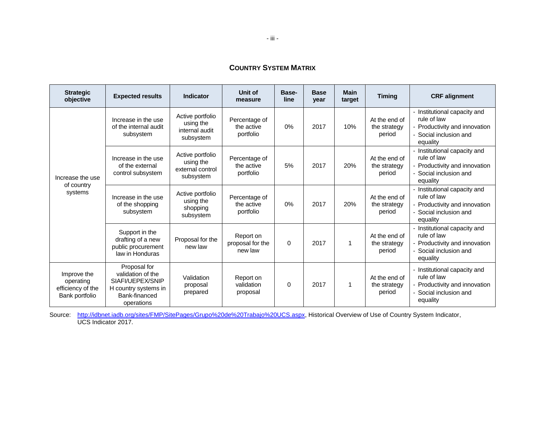# **COUNTRY SYSTEM MATRIX**

| <b>Strategic</b><br>objective                                   | <b>Expected results</b>                                                                                      | <b>Indicator</b>                                               | Unit of<br>measure                       | Base-<br>line | <b>Base</b><br>year | <b>Main</b><br>target | <b>Timing</b>                           | <b>CRF</b> alignment                                                                                               |
|-----------------------------------------------------------------|--------------------------------------------------------------------------------------------------------------|----------------------------------------------------------------|------------------------------------------|---------------|---------------------|-----------------------|-----------------------------------------|--------------------------------------------------------------------------------------------------------------------|
|                                                                 | Increase in the use<br>of the internal audit<br>subsystem                                                    | Active portfolio<br>using the<br>internal audit<br>subsystem   | Percentage of<br>the active<br>portfolio | 0%            | 2017                | 10%                   | At the end of<br>the strategy<br>period | - Institutional capacity and<br>rule of law<br>- Productivity and innovation<br>- Social inclusion and<br>equality |
| Increase the use                                                | Increase in the use<br>of the external<br>control subsystem                                                  | Active portfolio<br>using the<br>external control<br>subsystem | Percentage of<br>the active<br>portfolio | 5%            | 2017                | 20%                   | At the end of<br>the strategy<br>period | - Institutional capacity and<br>rule of law<br>- Productivity and innovation<br>Social inclusion and<br>equality   |
| of country<br>systems                                           | Increase in the use<br>of the shopping<br>subsystem                                                          | Active portfolio<br>using the<br>shopping<br>subsystem         | Percentage of<br>the active<br>portfolio | 0%            | 2017                | 20%                   | At the end of<br>the strategy<br>period | - Institutional capacity and<br>rule of law<br>- Productivity and innovation<br>Social inclusion and<br>equality   |
|                                                                 | Support in the<br>drafting of a new<br>public procurement<br>law in Honduras                                 | Proposal for the<br>new law                                    | Report on<br>proposal for the<br>new law | $\Omega$      | 2017                | 1                     | At the end of<br>the strategy<br>period | - Institutional capacity and<br>rule of law<br>- Productivity and innovation<br>Social inclusion and<br>equality   |
| Improve the<br>operating<br>efficiency of the<br>Bank portfolio | Proposal for<br>validation of the<br>SIAFI/UEPEX/SNIP<br>H country systems in<br>Bank-financed<br>operations | Validation<br>proposal<br>prepared                             | Report on<br>validation<br>proposal      | 0             | 2017                | 1                     | At the end of<br>the strategy<br>period | - Institutional capacity and<br>rule of law<br>- Productivity and innovation<br>Social inclusion and<br>equality   |

Source: [http://idbnet.iadb.org/sites/FMP/SitePages/Grupo%20de%20Trabajo%20UCS.aspx,](http://idbnet.iadb.org/sites/FMP/SitePages/Grupo%20de%20Trabajo%20UCS.aspx) Historical Overview of Use of Country System Indicator, UCS Indicator 2017.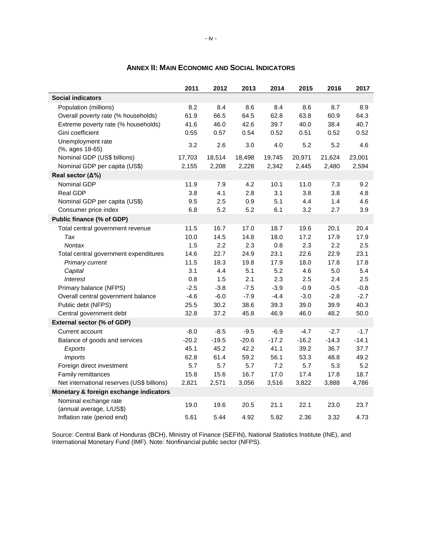|                                            | 2011    | 2012    | 2013    | 2014    | 2015    | 2016    | 2017    |
|--------------------------------------------|---------|---------|---------|---------|---------|---------|---------|
| <b>Social indicators</b>                   |         |         |         |         |         |         |         |
| Population (millions)                      | 8.2     | 8.4     | 8.6     | 8.4     | 8.6     | 8.7     | 8.9     |
| Overall poverty rate (% households)        | 61.9    | 66.5    | 64.5    | 62.8    | 63.8    | 60.9    | 64.3    |
| Extreme poverty rate (% households)        | 41.6    | 46.0    | 42.6    | 39.7    | 40.0    | 38.4    | 40.7    |
| Gini coefficient                           | 0.55    | 0.57    | 0.54    | 0.52    | 0.51    | 0.52    | 0.52    |
| Unemployment rate                          | 3.2     | 2.6     | 3.0     | 4.0     | 5.2     | 5.2     | 4.6     |
| (%, ages 18-65)                            |         |         |         |         |         |         |         |
| Nominal GDP (US\$ billions)                | 17,703  | 18,514  | 18,498  | 19,745  | 20,971  | 21,624  | 23,001  |
| Nominal GDP per capita (US\$)              | 2,155   | 2,208   | 2,228   | 2,342   | 2,445   | 2,480   | 2,594   |
| Real sector $(\Delta\%)$                   |         |         |         |         |         |         |         |
| Nominal GDP                                | 11.9    | 7.9     | 4.2     | 10.1    | 11.0    | 7.3     | 9.2     |
| Real GDP                                   | 3.8     | 4.1     | 2.8     | 3.1     | 3.8     | 3.8     | 4.8     |
| Nominal GDP per capita (US\$)              | 9.5     | 2.5     | 0.9     | 5.1     | 4.4     | 1.4     | 4.6     |
| Consumer price index                       | 6.8     | 5.2     | 5.2     | 6.1     | 3.2     | 2.7     | 3.9     |
| Public finance (% of GDP)                  |         |         |         |         |         |         |         |
| Total central government revenue           | 11.5    | 16.7    | 17.0    | 18.7    | 19.6    | 20.1    | 20.4    |
| Tax                                        | 10.0    | 14.5    | 14.8    | 18.0    | 17.2    | 17.9    | 17.9    |
| <b>Nontax</b>                              | 1.5     | 2.2     | 2.3     | 0.8     | 2.3     | 2.2     | 2.5     |
| Total central government expenditures      | 14.6    | 22.7    | 24.9    | 23.1    | 22.6    | 22.9    | 23.1    |
| Primary current                            | 11.5    | 18.3    | 19.8    | 17.9    | 18.0    | 17.8    | 17.8    |
| Capital                                    | 3.1     | 4.4     | 5.1     | 5.2     | 4.6     | 5.0     | 5.4     |
| <i><b>Interest</b></i>                     | 0.8     | 1.5     | 2.1     | 2.3     | 2.5     | 2.4     | 2.5     |
| Primary balance (NFPS)                     | $-2.5$  | $-3.8$  | $-7.5$  | $-3.9$  | $-0.9$  | $-0.5$  | $-0.8$  |
| Overall central government balance         | $-4.6$  | $-6.0$  | $-7.9$  | $-4.4$  | $-3.0$  | $-2.8$  | $-2.7$  |
| Public debt (NFPS)                         | 25.5    | 30.2    | 38.6    | 39.3    | 39.0    | 39.9    | 40.3    |
| Central government debt                    | 32.8    | 37.2    | 45.8    | 46.9    | 46.0    | 48.2    | 50.0    |
| External sector (% of GDP)                 |         |         |         |         |         |         |         |
| Current account                            | $-8.0$  | $-8.5$  | $-9.5$  | $-6.9$  | $-4.7$  | $-2.7$  | $-1.7$  |
| Balance of goods and services              | $-20.2$ | $-19.5$ | $-20.6$ | $-17.2$ | $-16.2$ | $-14.3$ | $-14.1$ |
| Exports                                    | 45.1    | 45.2    | 42.2    | 41.1    | 39.2    | 36.7    | 37.7    |
| <b>Imports</b>                             | 62.8    | 61.4    | 59.2    | 56.1    | 53.3    | 48.8    | 49.2    |
| Foreign direct investment                  | 5.7     | 5.7     | 5.7     | 7.2     | 5.7     | 5.3     | 5.2     |
| Family remittances                         | 15.8    | 15.6    | 16.7    | 17.0    | 17.4    | 17.8    | 18.7    |
| Net international reserves (US\$ billions) | 2,821   | 2,571   | 3,056   | 3,516   | 3,822   | 3,888   | 4,786   |
| Monetary & foreign exchange indicators     |         |         |         |         |         |         |         |
| Nominal exchange rate                      |         |         |         |         |         |         |         |
| (annual average, L/US\$)                   | 19.0    | 19.6    | 20.5    | 21.1    | 22.1    | 23.0    | 23.7    |
| Inflation rate (period end)                | 5.61    | 5.44    | 4.92    | 5.82    | 2.36    | 3.32    | 4.73    |

# **ANNEX II: MAIN ECONOMIC AND SOCIAL INDICATORS**

Source: Central Bank of Honduras (BCH), Ministry of Finance (SEFIN), National Statistics Institute (INE), and International Monetary Fund (IMF). Note: Nonfinancial public sector (NFPS).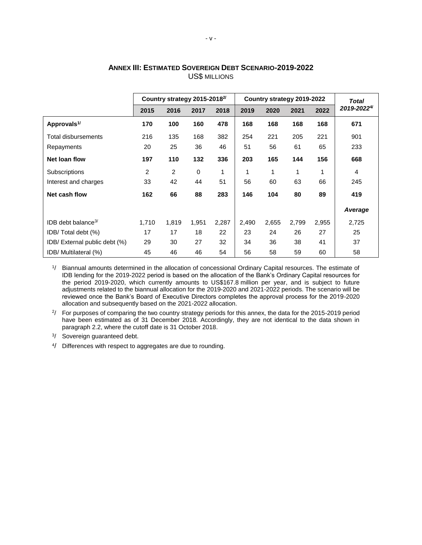|                                  | Country strategy 2015-2018 <sup>2/</sup> |       |       |       |       | Country strategy 2019-2022 | <b>Total</b> |       |            |
|----------------------------------|------------------------------------------|-------|-------|-------|-------|----------------------------|--------------|-------|------------|
|                                  | 2015                                     | 2016  | 2017  | 2018  | 2019  | 2020                       | 2021         | 2022  | 2019-20224 |
| Approvals <sup>1/</sup>          | 170                                      | 100   | 160   | 478   | 168   | 168                        | 168          | 168   | 671        |
| Total disbursements              | 216                                      | 135   | 168   | 382   | 254   | 221                        | 205          | 221   | 901        |
| Repayments                       | 20                                       | 25    | 36    | 46    | 51    | 56                         | 61           | 65    | 233        |
| Net loan flow                    | 197                                      | 110   | 132   | 336   | 203   | 165                        | 144          | 156   | 668        |
| Subscriptions                    | 2                                        | 2     | 0     | 1     | 1     | 1                          | 1            | 1     | 4          |
| Interest and charges             | 33                                       | 42    | 44    | 51    | 56    | 60                         | 63           | 66    | 245        |
| Net cash flow                    | 162                                      | 66    | 88    | 283   | 146   | 104                        | 80           | 89    | 419        |
|                                  |                                          |       |       |       |       |                            |              |       | Average    |
| $IDB$ debt balance <sup>3/</sup> | 1,710                                    | 1,819 | 1,951 | 2,287 | 2,490 | 2,655                      | 2,799        | 2,955 | 2,725      |
| IDB/Total debt (%)               | 17                                       | 17    | 18    | 22    | 23    | 24                         | 26           | 27    | 25         |
| IDB/ External public debt (%)    | 29                                       | 30    | 27    | 32    | 34    | 36                         | 38           | 41    | 37         |
| IDB/ Multilateral (%)            | 45                                       | 46    | 46    | 54    | 56    | 58                         | 59           | 60    | 58         |

#### **ANNEX III: ESTIMATED SOVEREIGN DEBT SCENARIO-2019-2022** US\$ MILLIONS

1 / Biannual amounts determined in the allocation of concessional Ordinary Capital resources. The estimate of IDB lending for the 2019-2022 period is based on the allocation of the Bank's Ordinary Capital resources for the period 2019-2020, which currently amounts to US\$167.8 million per year, and is subject to future adjustments related to the biannual allocation for the 2019-2020 and 2021-2022 periods. The scenario will be reviewed once the Bank's Board of Executive Directors completes the approval process for the 2019-2020 allocation and subsequently based on the 2021-2022 allocation.

<sup>2</sup>/ For purposes of comparing the two country strategy periods for this annex, the data for the 2015-2019 period have been estimated as of 31 December 2018. Accordingly, they are not identical to the data shown in paragraph 2.2, where the cutoff date is 31 October 2018.

<sup>3</sup>/ Sovereign guaranteed debt.

4 / Differences with respect to aggregates are due to rounding.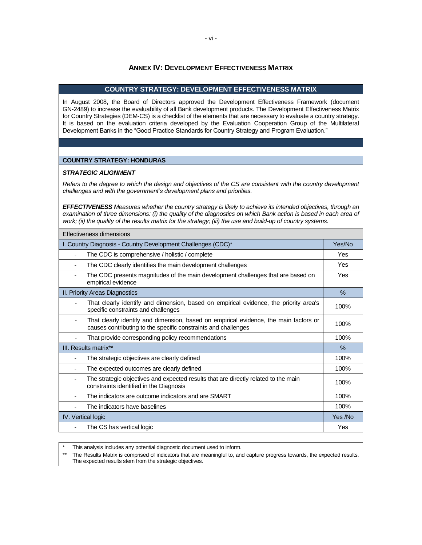#### **ANNEX IV: DEVELOPMENT EFFECTIVENESS MATRIX**

#### **COUNTRY STRATEGY: DEVELOPMENT EFFECTIVENESS MATRIX**

In August 2008, the Board of Directors approved the Development Effectiveness Framework (document GN-2489) to increase the evaluability of all Bank development products. The Development Effectiveness Matrix for Country Strategies (DEM-CS) is a checklist of the elements that are necessary to evaluate a country strategy. It is based on the evaluation criteria developed by the Evaluation Cooperation Group of the Multilateral Development Banks in the "Good Practice Standards for Country Strategy and Program Evaluation."

#### **COUNTRY STRATEGY: HONDURAS**

#### *STRATEGIC ALIGNMENT*

*Refers to the degree to which the design and objectives of the CS are consistent with the country development challenges and with the government's development plans and priorities.* 

*EFFECTIVENESS Measures whether the country strategy is likely to achieve its intended objectives, through an*  examination of three dimensions: (i) the quality of the diagnostics on which Bank action is based in each area of *work; (ii) the quality of the results matrix for the strategy; (iii) the use and build-up of country systems*.

| Effectiveness dimensions                                                                                                                                |               |  |  |  |  |
|---------------------------------------------------------------------------------------------------------------------------------------------------------|---------------|--|--|--|--|
| I. Country Diagnosis - Country Development Challenges (CDC)*                                                                                            | Yes/No        |  |  |  |  |
| The CDC is comprehensive / holistic / complete                                                                                                          |               |  |  |  |  |
| The CDC clearly identifies the main development challenges                                                                                              | Yes           |  |  |  |  |
| The CDC presents magnitudes of the main development challenges that are based on<br>empirical evidence                                                  | Yes           |  |  |  |  |
| II. Priority Areas Diagnostics                                                                                                                          | $\frac{9}{6}$ |  |  |  |  |
| That clearly identify and dimension, based on empirical evidence, the priority area's<br>specific constraints and challenges                            | 100%          |  |  |  |  |
| That clearly identify and dimension, based on empirical evidence, the main factors or<br>causes contributing to the specific constraints and challenges | 100%          |  |  |  |  |
| That provide corresponding policy recommendations                                                                                                       | 100%          |  |  |  |  |
| III. Results matrix**                                                                                                                                   | $\%$          |  |  |  |  |
| The strategic objectives are clearly defined                                                                                                            | 100%          |  |  |  |  |
| The expected outcomes are clearly defined                                                                                                               | 100%          |  |  |  |  |
| The strategic objectives and expected results that are directly related to the main<br>constraints identified in the Diagnosis                          | 100%          |  |  |  |  |
| The indicators are outcome indicators and are SMART                                                                                                     | 100%          |  |  |  |  |
| The indicators have baselines                                                                                                                           | 100%          |  |  |  |  |
| <b>IV.</b> Vertical logic                                                                                                                               | Yes /No       |  |  |  |  |
| The CS has vertical logic                                                                                                                               | Yes           |  |  |  |  |

This analysis includes any potential diagnostic document used to inform.

\*\* The Results Matrix is comprised of indicators that are meaningful to, and capture progress towards, the expected results. The expected results stem from the strategic objectives.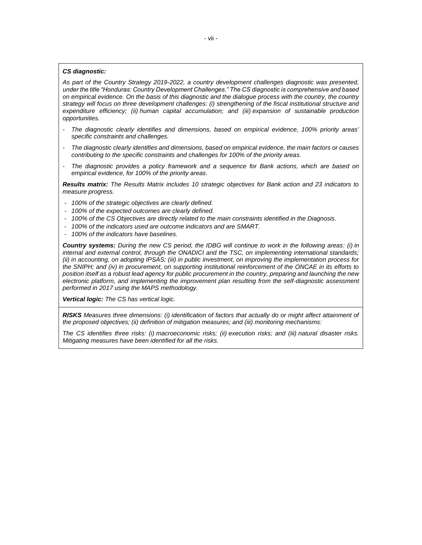#### *CS diagnostic:*

*As part of the Country Strategy 2019-2022, a country development challenges diagnostic was presented, under the title "Honduras: Country Development Challenges." The CS diagnostic is comprehensive and based on empirical evidence. On the basis of this diagnostic and the dialogue process with the country, the country strategy will focus on three development challenges: (i) strengthening of the fiscal institutional structure and expenditure efficiency; (ii) human capital accumulation; and (iii) expansion of sustainable production opportunities.*

- *- The diagnostic clearly identifies and dimensions, based on empirical evidence, 100% priority areas' specific constraints and challenges.*
- *- The diagnostic clearly identifies and dimensions, based on empirical evidence, the main factors or causes contributing to the specific constraints and challenges for 100% of the priority areas.*
- *- The diagnostic provides a policy framework and a sequence for Bank actions, which are based on empirical evidence, for 100% of the priority areas.*

*Results matrix: The Results Matrix includes 10 strategic objectives for Bank action and 23 indicators to measure progress.*

- *- 100% of the strategic objectives are clearly defined.*
- *- 100% of the expected outcomes are clearly defined.*
- *- 100% of the CS Objectives are directly related to the main constraints identified in the Diagnosis.*
- *- 100% of the indicators used are outcome indicators and are SMART.*
- *- 100% of the indicators have baselines.*

*Country systems: During the new CS period, the IDBG will continue to work in the following areas: (i) in internal and external control, through the ONADICI and the TSC, on implementing international standards; (ii) in accounting, on adopting IPSAS; (iii) in public investment, on improving the implementation process for the SNIPH; and (iv) in procurement, on supporting institutional reinforcement of the ONCAE in its efforts to position itself as a robust lead agency for public procurement in the country, preparing and launching the new electronic platform, and implementing the improvement plan resulting from the self-diagnostic assessment performed in 2017 using the MAPS methodology.*

*Vertical logic: The CS has vertical logic.* 

*RISKS Measures three dimensions: (i) identification of factors that actually do or might affect attainment of the proposed objectives; (ii) definition of mitigation measures; and (iii) monitoring mechanisms:*

*The CS identifies three risks: (i) macroeconomic risks; (ii) execution risks; and (iii) natural disaster risks. Mitigating measures have been identified for all the risks.*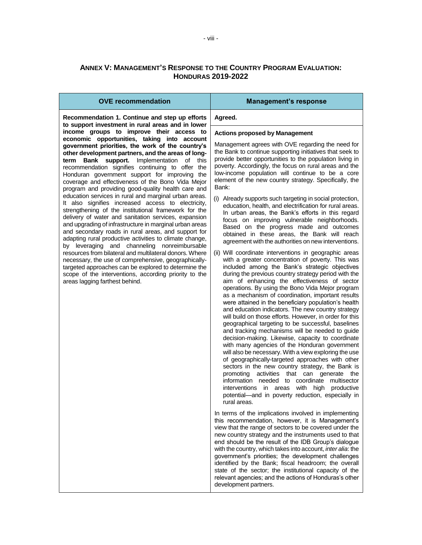# **ANNEX V: MANAGEMENT'S RESPONSE TO THE COUNTRY PROGRAM EVALUATION: HONDURAS 2019-2022**

| Agreed.                                                                                                                                                                                                                                                                                                                                                                                                                                                                                                                                                                                                                                                                                                                                                                                                                                                                                                                                                                                                                                                                                                                                                                                                                                                                                                                                                                                                                                                                                                                                                                                                                                                                                                                                                                                                                                                                                                                                                                                                                                                                                                                                                                                                        |
|----------------------------------------------------------------------------------------------------------------------------------------------------------------------------------------------------------------------------------------------------------------------------------------------------------------------------------------------------------------------------------------------------------------------------------------------------------------------------------------------------------------------------------------------------------------------------------------------------------------------------------------------------------------------------------------------------------------------------------------------------------------------------------------------------------------------------------------------------------------------------------------------------------------------------------------------------------------------------------------------------------------------------------------------------------------------------------------------------------------------------------------------------------------------------------------------------------------------------------------------------------------------------------------------------------------------------------------------------------------------------------------------------------------------------------------------------------------------------------------------------------------------------------------------------------------------------------------------------------------------------------------------------------------------------------------------------------------------------------------------------------------------------------------------------------------------------------------------------------------------------------------------------------------------------------------------------------------------------------------------------------------------------------------------------------------------------------------------------------------------------------------------------------------------------------------------------------------|
|                                                                                                                                                                                                                                                                                                                                                                                                                                                                                                                                                                                                                                                                                                                                                                                                                                                                                                                                                                                                                                                                                                                                                                                                                                                                                                                                                                                                                                                                                                                                                                                                                                                                                                                                                                                                                                                                                                                                                                                                                                                                                                                                                                                                                |
| <b>Actions proposed by Management</b>                                                                                                                                                                                                                                                                                                                                                                                                                                                                                                                                                                                                                                                                                                                                                                                                                                                                                                                                                                                                                                                                                                                                                                                                                                                                                                                                                                                                                                                                                                                                                                                                                                                                                                                                                                                                                                                                                                                                                                                                                                                                                                                                                                          |
| Management agrees with OVE regarding the need for<br>the Bank to continue supporting initiatives that seek to<br>provide better opportunities to the population living in<br>poverty. Accordingly, the focus on rural areas and the<br>low-income population will continue to be a core<br>element of the new country strategy. Specifically, the<br>Bank:<br>(i) Already supports such targeting in social protection,<br>education, health, and electrification for rural areas.<br>In urban areas, the Bank's efforts in this regard<br>focus on improving vulnerable neighborhoods.<br>Based on the progress made and outcomes<br>obtained in these areas, the Bank will reach<br>agreement with the authorities on new interventions.<br>(ii) Will coordinate interventions in geographic areas<br>with a greater concentration of poverty. This was<br>included among the Bank's strategic objectives<br>during the previous country strategy period with the<br>aim of enhancing the effectiveness of sector<br>operations. By using the Bono Vida Mejor program<br>as a mechanism of coordination, important results<br>were attained in the beneficiary population's health<br>and education indicators. The new country strategy<br>will build on those efforts. However, in order for this<br>geographical targeting to be successful, baselines<br>and tracking mechanisms will be needed to guide<br>decision-making. Likewise, capacity to coordinate<br>with many agencies of the Honduran government<br>will also be necessary. With a view exploring the use<br>of geographically-targeted approaches with other<br>sectors in the new country strategy, the Bank is<br>activities<br>that can generate<br>promoting<br>the<br>information needed to coordinate<br>multisector<br>with high productive<br>interventions in areas<br>potential-and in poverty reduction, especially in<br>rural areas.<br>In terms of the implications involved in implementing<br>this recommendation, however, it is Management's<br>view that the range of sectors to be covered under the<br>new country strategy and the instruments used to that<br>end should be the result of the IDB Group's dialogue |
| with the country, which takes into account, inter alia: the<br>government's priorities; the development challenges<br>identified by the Bank; fiscal headroom; the overall<br>state of the sector; the institutional capacity of the<br>relevant agencies; and the actions of Honduras's other<br>development partners.                                                                                                                                                                                                                                                                                                                                                                                                                                                                                                                                                                                                                                                                                                                                                                                                                                                                                                                                                                                                                                                                                                                                                                                                                                                                                                                                                                                                                                                                                                                                                                                                                                                                                                                                                                                                                                                                                        |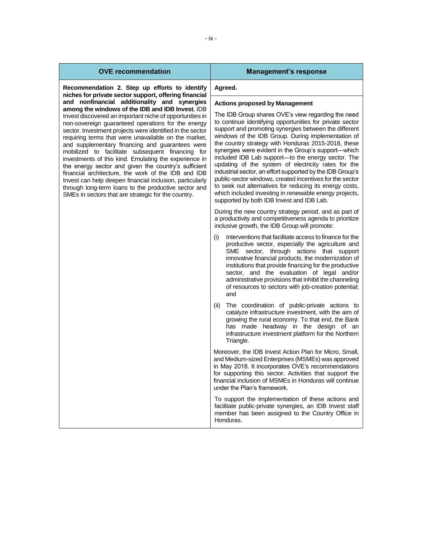| <b>OVE recommendation</b>                                                                                                                                                                                                                                                                                                                                                                                                                                                                                                                                                                                                         | <b>Management's response</b>                                                                                                                                                                                                                                                                                                                                                                                                                                                                                                                                                                                                      |
|-----------------------------------------------------------------------------------------------------------------------------------------------------------------------------------------------------------------------------------------------------------------------------------------------------------------------------------------------------------------------------------------------------------------------------------------------------------------------------------------------------------------------------------------------------------------------------------------------------------------------------------|-----------------------------------------------------------------------------------------------------------------------------------------------------------------------------------------------------------------------------------------------------------------------------------------------------------------------------------------------------------------------------------------------------------------------------------------------------------------------------------------------------------------------------------------------------------------------------------------------------------------------------------|
| Recommendation 2. Step up efforts to identify<br>niches for private sector support, offering financial<br>and nonfinancial additionality and synergies<br>among the windows of the IDB and IDB Invest. IDB<br>Invest discovered an important niche of opportunities in                                                                                                                                                                                                                                                                                                                                                            | Agreed.                                                                                                                                                                                                                                                                                                                                                                                                                                                                                                                                                                                                                           |
|                                                                                                                                                                                                                                                                                                                                                                                                                                                                                                                                                                                                                                   | <b>Actions proposed by Management</b><br>The IDB Group shares OVE's view regarding the need<br>to continue identifying opportunities for private sector                                                                                                                                                                                                                                                                                                                                                                                                                                                                           |
| non-sovereign guaranteed operations for the energy<br>sector. Investment projects were identified in the sector<br>requiring terms that were unavailable on the market,<br>and supplementary financing and guarantees were<br>mobilized to facilitate subsequent financing for<br>investments of this kind. Emulating the experience in<br>the energy sector and given the country's sufficient<br>financial architecture, the work of the IDB and IDB<br>Invest can help deepen financial inclusion, particularly<br>through long-term loans to the productive sector and<br>SMEs in sectors that are strategic for the country. | support and promoting synergies between the different<br>windows of the IDB Group. During implementation of<br>the country strategy with Honduras 2015-2018, these<br>synergies were evident in the Group's support-which<br>included IDB Lab support-to the energy sector. The<br>updating of the system of electricity rates for the<br>industrial sector, an effort supported by the IDB Group's<br>public-sector windows, created incentives for the sector<br>to seek out alternatives for reducing its energy costs,<br>which included investing in renewable energy projects,<br>supported by both IDB Invest and IDB Lab. |
|                                                                                                                                                                                                                                                                                                                                                                                                                                                                                                                                                                                                                                   | During the new country strategy period, and as part of<br>a productivity and competitiveness agenda to prioritize<br>inclusive growth, the IDB Group will promote:                                                                                                                                                                                                                                                                                                                                                                                                                                                                |
|                                                                                                                                                                                                                                                                                                                                                                                                                                                                                                                                                                                                                                   | Interventions that facilitate access to finance for the<br>(i)<br>productive sector, especially the agriculture and<br>SME sector, through actions that support<br>innovative financial products, the modernization of<br>institutions that provide financing for the productive<br>sector, and the evaluation of legal and/or<br>administrative provisions that inhibit the channeling<br>of resources to sectors with job-creation potential;<br>and                                                                                                                                                                            |
|                                                                                                                                                                                                                                                                                                                                                                                                                                                                                                                                                                                                                                   | The coordination of public-private actions to<br>(ii)<br>catalyze infrastructure investment, with the aim of<br>growing the rural economy. To that end, the Bank<br>has made headway in the design of an<br>infrastructure investment platform for the Northern<br>Triangle.                                                                                                                                                                                                                                                                                                                                                      |
|                                                                                                                                                                                                                                                                                                                                                                                                                                                                                                                                                                                                                                   | Moreover, the IDB Invest Action Plan for Micro, Small,<br>and Medium-sized Enterprises (MSMEs) was approved<br>in May 2018. It incorporates OVE's recommendations<br>for supporting this sector. Activities that support the<br>financial inclusion of MSMEs in Honduras will continue<br>under the Plan's framework.                                                                                                                                                                                                                                                                                                             |
|                                                                                                                                                                                                                                                                                                                                                                                                                                                                                                                                                                                                                                   | To support the implementation of these actions and<br>facilitate public-private synergies, an IDB Invest staff<br>member has been assigned to the Country Office in<br>Honduras.                                                                                                                                                                                                                                                                                                                                                                                                                                                  |